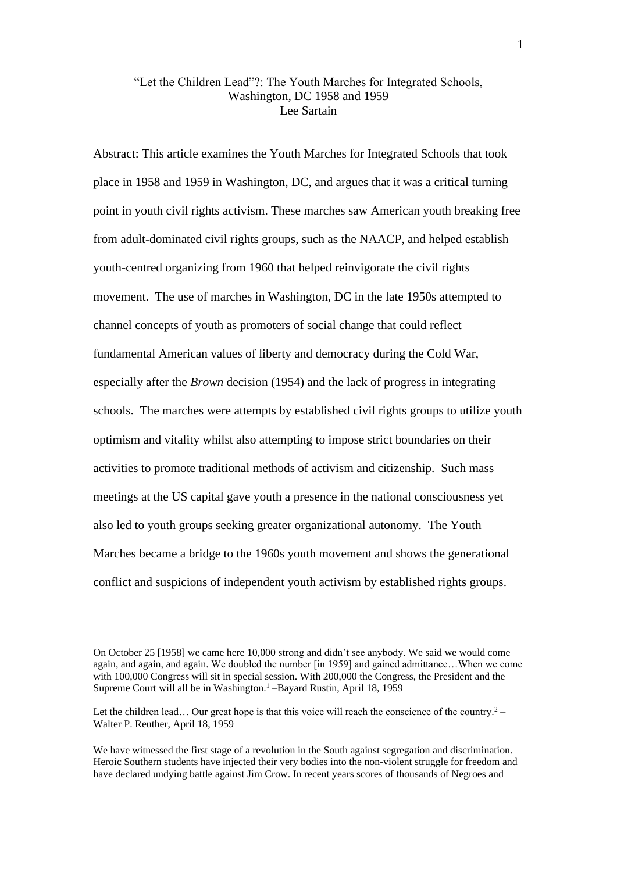## "Let the Children Lead"?: The Youth Marches for Integrated Schools, Washington, DC 1958 and 1959 Lee Sartain

Abstract: This article examines the Youth Marches for Integrated Schools that took place in 1958 and 1959 in Washington, DC, and argues that it was a critical turning point in youth civil rights activism. These marches saw American youth breaking free from adult-dominated civil rights groups, such as the NAACP, and helped establish youth-centred organizing from 1960 that helped reinvigorate the civil rights movement. The use of marches in Washington, DC in the late 1950s attempted to channel concepts of youth as promoters of social change that could reflect fundamental American values of liberty and democracy during the Cold War, especially after the *Brown* decision (1954) and the lack of progress in integrating schools. The marches were attempts by established civil rights groups to utilize youth optimism and vitality whilst also attempting to impose strict boundaries on their activities to promote traditional methods of activism and citizenship. Such mass meetings at the US capital gave youth a presence in the national consciousness yet also led to youth groups seeking greater organizational autonomy. The Youth Marches became a bridge to the 1960s youth movement and shows the generational conflict and suspicions of independent youth activism by established rights groups.

On October 25 [1958] we came here 10,000 strong and didn't see anybody. We said we would come again, and again, and again. We doubled the number [in 1959] and gained admittance…When we come with 100,000 Congress will sit in special session. With 200,000 the Congress, the President and the Supreme Court will all be in Washington.<sup>1</sup> –Bayard Rustin, April 18, 1959

Let the children lead... Our great hope is that this voice will reach the conscience of the country.<sup>2</sup> – Walter P. Reuther, April 18, 1959

We have witnessed the first stage of a revolution in the South against segregation and discrimination. Heroic Southern students have injected their very bodies into the non-violent struggle for freedom and have declared undying battle against Jim Crow. In recent years scores of thousands of Negroes and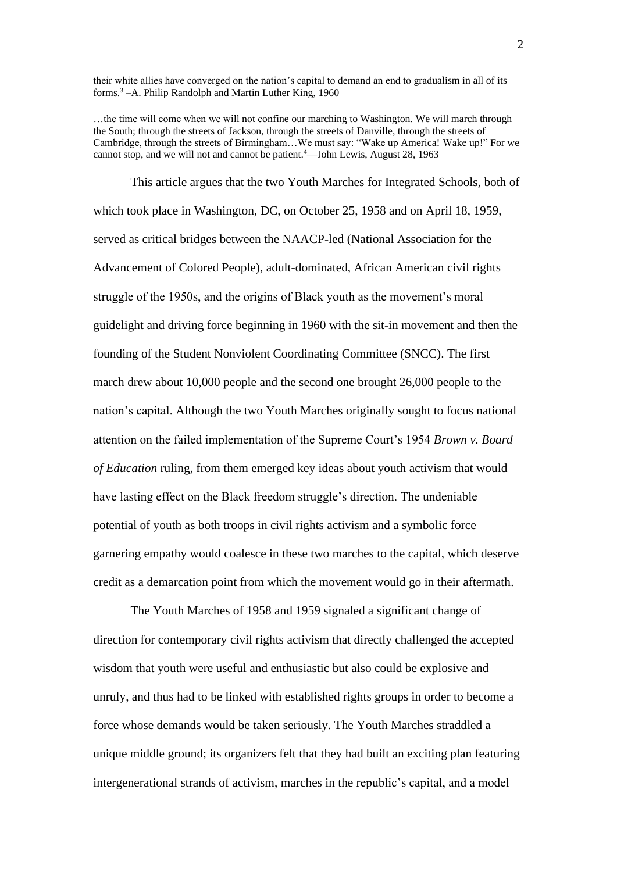their white allies have converged on the nation's capital to demand an end to gradualism in all of its forms.<sup>3</sup> –A. Philip Randolph and Martin Luther King, 1960

…the time will come when we will not confine our marching to Washington. We will march through the South; through the streets of Jackson, through the streets of Danville, through the streets of Cambridge, through the streets of Birmingham…We must say: "Wake up America! Wake up!" For we cannot stop, and we will not and cannot be patient.<sup>4</sup>—John Lewis, August 28, 1963

This article argues that the two Youth Marches for Integrated Schools, both of which took place in Washington, DC, on October 25, 1958 and on April 18, 1959, served as critical bridges between the NAACP-led (National Association for the Advancement of Colored People), adult-dominated, African American civil rights struggle of the 1950s, and the origins of Black youth as the movement's moral guidelight and driving force beginning in 1960 with the sit-in movement and then the founding of the Student Nonviolent Coordinating Committee (SNCC). The first march drew about 10,000 people and the second one brought 26,000 people to the nation's capital. Although the two Youth Marches originally sought to focus national attention on the failed implementation of the Supreme Court's 1954 *Brown v. Board of Education* ruling, from them emerged key ideas about youth activism that would have lasting effect on the Black freedom struggle's direction. The undeniable potential of youth as both troops in civil rights activism and a symbolic force garnering empathy would coalesce in these two marches to the capital, which deserve credit as a demarcation point from which the movement would go in their aftermath.

The Youth Marches of 1958 and 1959 signaled a significant change of direction for contemporary civil rights activism that directly challenged the accepted wisdom that youth were useful and enthusiastic but also could be explosive and unruly, and thus had to be linked with established rights groups in order to become a force whose demands would be taken seriously. The Youth Marches straddled a unique middle ground; its organizers felt that they had built an exciting plan featuring intergenerational strands of activism, marches in the republic's capital, and a model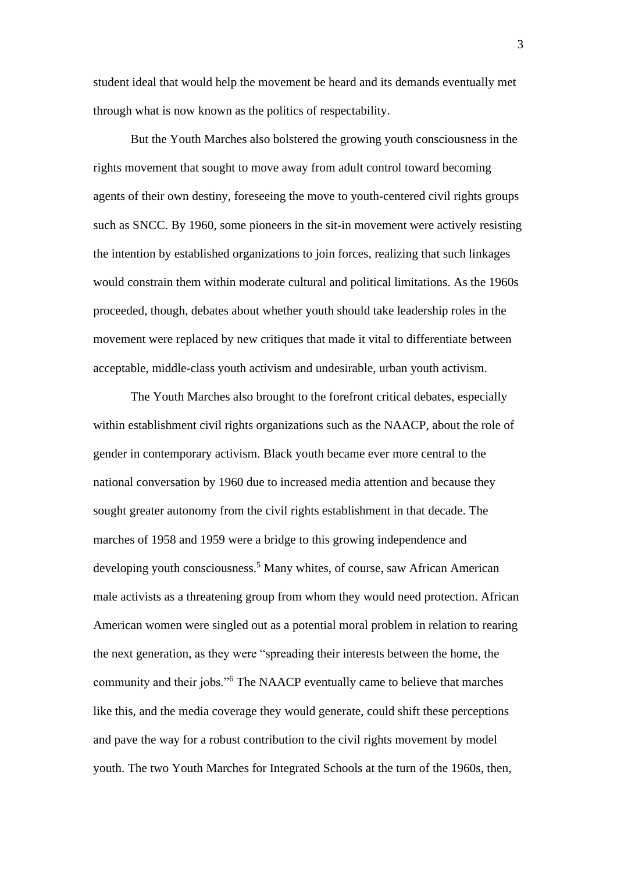student ideal that would help the movement be heard and its demands eventually met through what is now known as the politics of respectability.

But the Youth Marches also bolstered the growing youth consciousness in the rights movement that sought to move away from adult control toward becoming agents of their own destiny, foreseeing the move to youth-centered civil rights groups such as SNCC. By 1960, some pioneers in the sit-in movement were actively resisting the intention by established organizations to join forces, realizing that such linkages would constrain them within moderate cultural and political limitations. As the 1960s proceeded, though, debates about whether youth should take leadership roles in the movement were replaced by new critiques that made it vital to differentiate between acceptable, middle-class youth activism and undesirable, urban youth activism.

The Youth Marches also brought to the forefront critical debates, especially within establishment civil rights organizations such as the NAACP, about the role of gender in contemporary activism. Black youth became ever more central to the national conversation by 1960 due to increased media attention and because they sought greater autonomy from the civil rights establishment in that decade. The marches of 1958 and 1959 were a bridge to this growing independence and developing youth consciousness.<sup>5</sup> Many whites, of course, saw African American male activists as a threatening group from whom they would need protection. African American women were singled out as a potential moral problem in relation to rearing the next generation, as they were "spreading their interests between the home, the community and their jobs."<sup>6</sup> The NAACP eventually came to believe that marches like this, and the media coverage they would generate, could shift these perceptions and pave the way for a robust contribution to the civil rights movement by model youth. The two Youth Marches for Integrated Schools at the turn of the 1960s, then,

3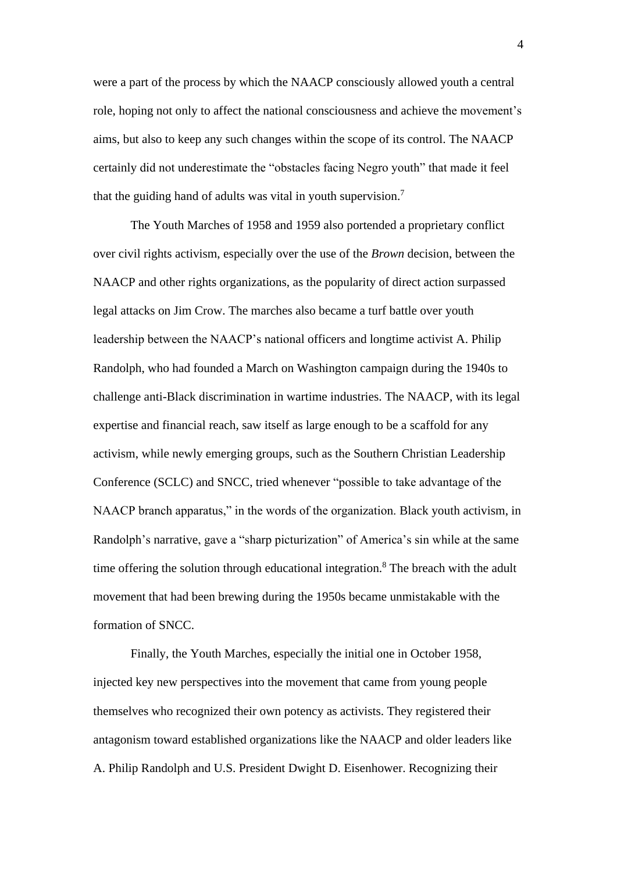were a part of the process by which the NAACP consciously allowed youth a central role, hoping not only to affect the national consciousness and achieve the movement's aims, but also to keep any such changes within the scope of its control. The NAACP certainly did not underestimate the "obstacles facing Negro youth" that made it feel that the guiding hand of adults was vital in youth supervision.<sup>7</sup>

The Youth Marches of 1958 and 1959 also portended a proprietary conflict over civil rights activism, especially over the use of the *Brown* decision, between the NAACP and other rights organizations, as the popularity of direct action surpassed legal attacks on Jim Crow. The marches also became a turf battle over youth leadership between the NAACP's national officers and longtime activist A. Philip Randolph, who had founded a March on Washington campaign during the 1940s to challenge anti-Black discrimination in wartime industries. The NAACP, with its legal expertise and financial reach, saw itself as large enough to be a scaffold for any activism, while newly emerging groups, such as the Southern Christian Leadership Conference (SCLC) and SNCC, tried whenever "possible to take advantage of the NAACP branch apparatus," in the words of the organization. Black youth activism, in Randolph's narrative, gave a "sharp picturization" of America's sin while at the same time offering the solution through educational integration.<sup>8</sup> The breach with the adult movement that had been brewing during the 1950s became unmistakable with the formation of SNCC.

Finally, the Youth Marches, especially the initial one in October 1958, injected key new perspectives into the movement that came from young people themselves who recognized their own potency as activists. They registered their antagonism toward established organizations like the NAACP and older leaders like A. Philip Randolph and U.S. President Dwight D. Eisenhower. Recognizing their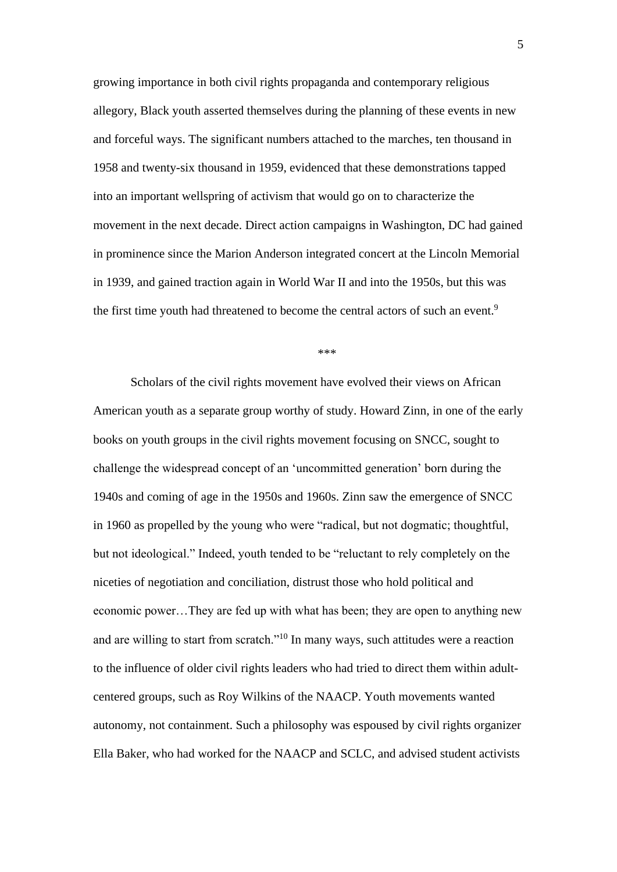growing importance in both civil rights propaganda and contemporary religious allegory, Black youth asserted themselves during the planning of these events in new and forceful ways. The significant numbers attached to the marches, ten thousand in 1958 and twenty-six thousand in 1959, evidenced that these demonstrations tapped into an important wellspring of activism that would go on to characterize the movement in the next decade. Direct action campaigns in Washington, DC had gained in prominence since the Marion Anderson integrated concert at the Lincoln Memorial in 1939, and gained traction again in World War II and into the 1950s, but this was the first time youth had threatened to become the central actors of such an event.<sup>9</sup>

\*\*\*

Scholars of the civil rights movement have evolved their views on African American youth as a separate group worthy of study. Howard Zinn, in one of the early books on youth groups in the civil rights movement focusing on SNCC, sought to challenge the widespread concept of an 'uncommitted generation' born during the 1940s and coming of age in the 1950s and 1960s. Zinn saw the emergence of SNCC in 1960 as propelled by the young who were "radical, but not dogmatic; thoughtful, but not ideological." Indeed, youth tended to be "reluctant to rely completely on the niceties of negotiation and conciliation, distrust those who hold political and economic power…They are fed up with what has been; they are open to anything new and are willing to start from scratch."<sup>10</sup> In many ways, such attitudes were a reaction to the influence of older civil rights leaders who had tried to direct them within adultcentered groups, such as Roy Wilkins of the NAACP. Youth movements wanted autonomy, not containment. Such a philosophy was espoused by civil rights organizer Ella Baker, who had worked for the NAACP and SCLC, and advised student activists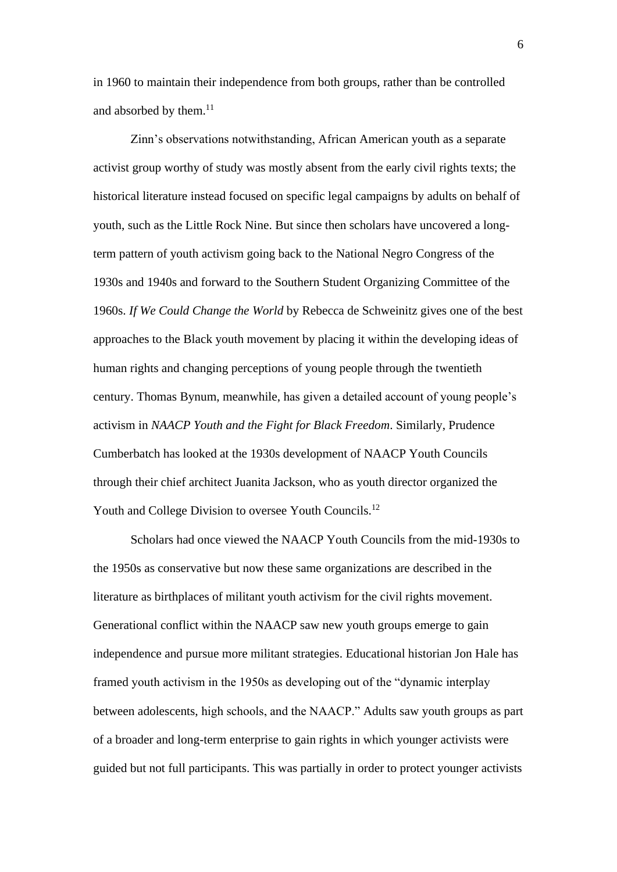in 1960 to maintain their independence from both groups, rather than be controlled and absorbed by them. $^{11}$ 

Zinn's observations notwithstanding, African American youth as a separate activist group worthy of study was mostly absent from the early civil rights texts; the historical literature instead focused on specific legal campaigns by adults on behalf of youth, such as the Little Rock Nine. But since then scholars have uncovered a longterm pattern of youth activism going back to the National Negro Congress of the 1930s and 1940s and forward to the Southern Student Organizing Committee of the 1960s. *If We Could Change the World* by Rebecca de Schweinitz gives one of the best approaches to the Black youth movement by placing it within the developing ideas of human rights and changing perceptions of young people through the twentieth century. Thomas Bynum, meanwhile, has given a detailed account of young people's activism in *NAACP Youth and the Fight for Black Freedom*. Similarly, Prudence Cumberbatch has looked at the 1930s development of NAACP Youth Councils through their chief architect Juanita Jackson, who as youth director organized the Youth and College Division to oversee Youth Councils.<sup>12</sup>

Scholars had once viewed the NAACP Youth Councils from the mid-1930s to the 1950s as conservative but now these same organizations are described in the literature as birthplaces of militant youth activism for the civil rights movement. Generational conflict within the NAACP saw new youth groups emerge to gain independence and pursue more militant strategies. Educational historian Jon Hale has framed youth activism in the 1950s as developing out of the "dynamic interplay between adolescents, high schools, and the NAACP." Adults saw youth groups as part of a broader and long-term enterprise to gain rights in which younger activists were guided but not full participants. This was partially in order to protect younger activists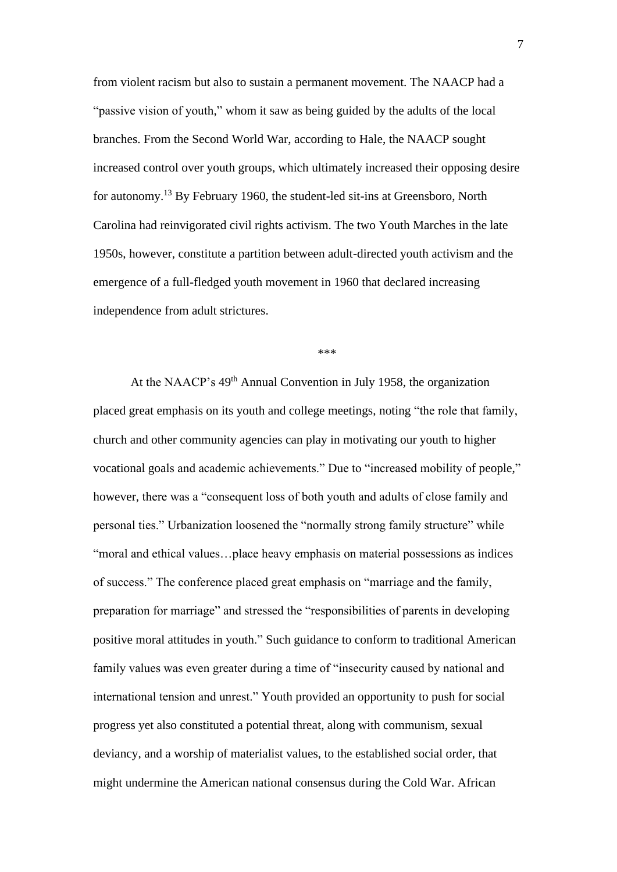from violent racism but also to sustain a permanent movement. The NAACP had a "passive vision of youth," whom it saw as being guided by the adults of the local branches. From the Second World War, according to Hale, the NAACP sought increased control over youth groups, which ultimately increased their opposing desire for autonomy.<sup>13</sup> By February 1960, the student-led sit-ins at Greensboro, North Carolina had reinvigorated civil rights activism. The two Youth Marches in the late 1950s, however, constitute a partition between adult-directed youth activism and the emergence of a full-fledged youth movement in 1960 that declared increasing independence from adult strictures.

\*\*\*

At the NAACP's 49th Annual Convention in July 1958, the organization placed great emphasis on its youth and college meetings, noting "the role that family, church and other community agencies can play in motivating our youth to higher vocational goals and academic achievements." Due to "increased mobility of people," however, there was a "consequent loss of both youth and adults of close family and personal ties." Urbanization loosened the "normally strong family structure" while "moral and ethical values…place heavy emphasis on material possessions as indices of success." The conference placed great emphasis on "marriage and the family, preparation for marriage" and stressed the "responsibilities of parents in developing positive moral attitudes in youth." Such guidance to conform to traditional American family values was even greater during a time of "insecurity caused by national and international tension and unrest." Youth provided an opportunity to push for social progress yet also constituted a potential threat, along with communism, sexual deviancy, and a worship of materialist values, to the established social order, that might undermine the American national consensus during the Cold War. African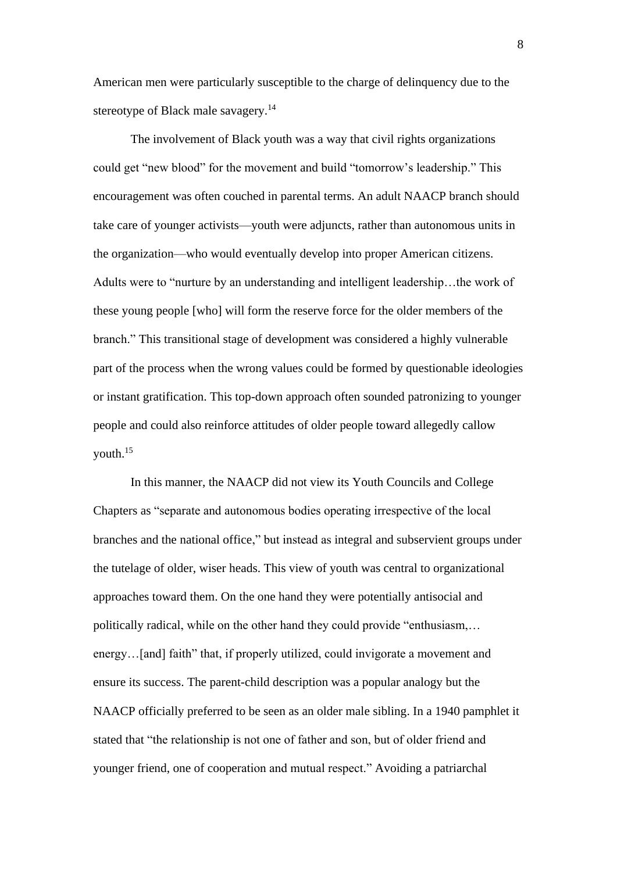American men were particularly susceptible to the charge of delinquency due to the stereotype of Black male savagery.<sup>14</sup>

The involvement of Black youth was a way that civil rights organizations could get "new blood" for the movement and build "tomorrow's leadership." This encouragement was often couched in parental terms. An adult NAACP branch should take care of younger activists—youth were adjuncts, rather than autonomous units in the organization—who would eventually develop into proper American citizens. Adults were to "nurture by an understanding and intelligent leadership…the work of these young people [who] will form the reserve force for the older members of the branch." This transitional stage of development was considered a highly vulnerable part of the process when the wrong values could be formed by questionable ideologies or instant gratification. This top-down approach often sounded patronizing to younger people and could also reinforce attitudes of older people toward allegedly callow youth.<sup>15</sup>

In this manner, the NAACP did not view its Youth Councils and College Chapters as "separate and autonomous bodies operating irrespective of the local branches and the national office," but instead as integral and subservient groups under the tutelage of older, wiser heads. This view of youth was central to organizational approaches toward them. On the one hand they were potentially antisocial and politically radical, while on the other hand they could provide "enthusiasm,… energy…[and] faith" that, if properly utilized, could invigorate a movement and ensure its success. The parent-child description was a popular analogy but the NAACP officially preferred to be seen as an older male sibling. In a 1940 pamphlet it stated that "the relationship is not one of father and son, but of older friend and younger friend, one of cooperation and mutual respect." Avoiding a patriarchal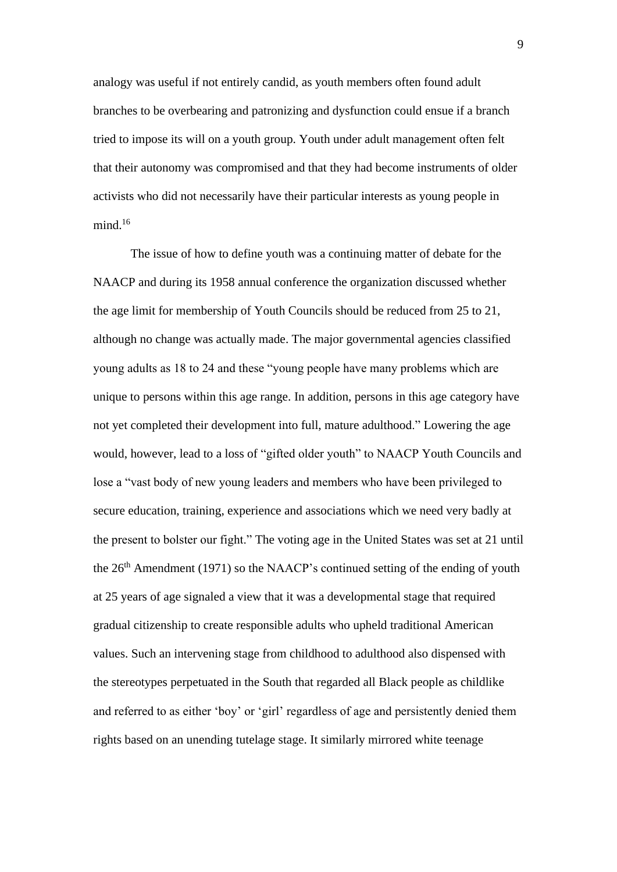analogy was useful if not entirely candid, as youth members often found adult branches to be overbearing and patronizing and dysfunction could ensue if a branch tried to impose its will on a youth group. Youth under adult management often felt that their autonomy was compromised and that they had become instruments of older activists who did not necessarily have their particular interests as young people in mind. 16

The issue of how to define youth was a continuing matter of debate for the NAACP and during its 1958 annual conference the organization discussed whether the age limit for membership of Youth Councils should be reduced from 25 to 21, although no change was actually made. The major governmental agencies classified young adults as 18 to 24 and these "young people have many problems which are unique to persons within this age range. In addition, persons in this age category have not yet completed their development into full, mature adulthood." Lowering the age would, however, lead to a loss of "gifted older youth" to NAACP Youth Councils and lose a "vast body of new young leaders and members who have been privileged to secure education, training, experience and associations which we need very badly at the present to bolster our fight." The voting age in the United States was set at 21 until the  $26<sup>th</sup>$  Amendment (1971) so the NAACP's continued setting of the ending of youth at 25 years of age signaled a view that it was a developmental stage that required gradual citizenship to create responsible adults who upheld traditional American values. Such an intervening stage from childhood to adulthood also dispensed with the stereotypes perpetuated in the South that regarded all Black people as childlike and referred to as either 'boy' or 'girl' regardless of age and persistently denied them rights based on an unending tutelage stage. It similarly mirrored white teenage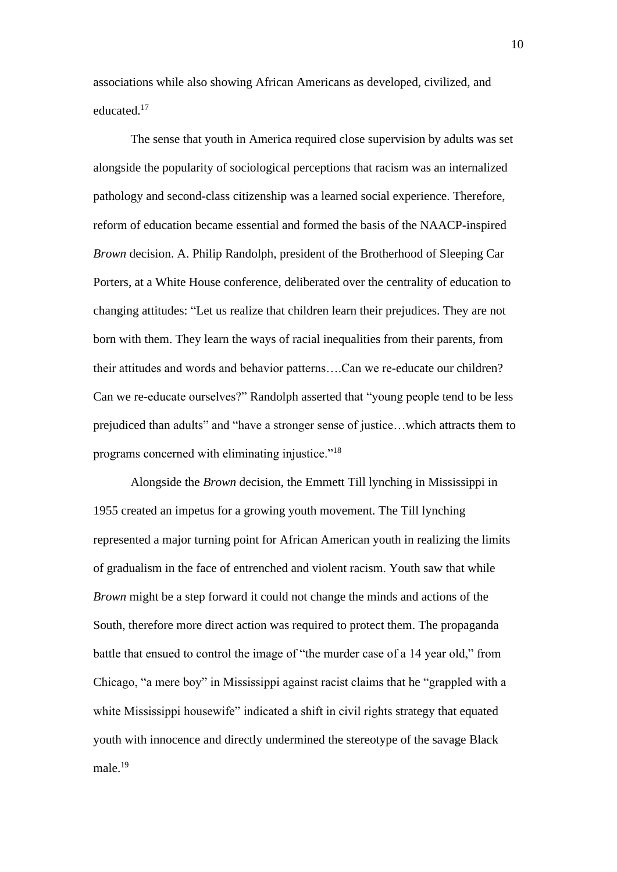associations while also showing African Americans as developed, civilized, and educated.<sup>17</sup>

The sense that youth in America required close supervision by adults was set alongside the popularity of sociological perceptions that racism was an internalized pathology and second-class citizenship was a learned social experience. Therefore, reform of education became essential and formed the basis of the NAACP-inspired *Brown* decision. A. Philip Randolph, president of the Brotherhood of Sleeping Car Porters, at a White House conference, deliberated over the centrality of education to changing attitudes: "Let us realize that children learn their prejudices. They are not born with them. They learn the ways of racial inequalities from their parents, from their attitudes and words and behavior patterns….Can we re-educate our children? Can we re-educate ourselves?" Randolph asserted that "young people tend to be less prejudiced than adults" and "have a stronger sense of justice…which attracts them to programs concerned with eliminating injustice."<sup>18</sup>

Alongside the *Brown* decision, the Emmett Till lynching in Mississippi in 1955 created an impetus for a growing youth movement. The Till lynching represented a major turning point for African American youth in realizing the limits of gradualism in the face of entrenched and violent racism. Youth saw that while *Brown* might be a step forward it could not change the minds and actions of the South, therefore more direct action was required to protect them. The propaganda battle that ensued to control the image of "the murder case of a 14 year old," from Chicago, "a mere boy" in Mississippi against racist claims that he "grappled with a white Mississippi housewife" indicated a shift in civil rights strategy that equated youth with innocence and directly undermined the stereotype of the savage Black male.<sup>19</sup>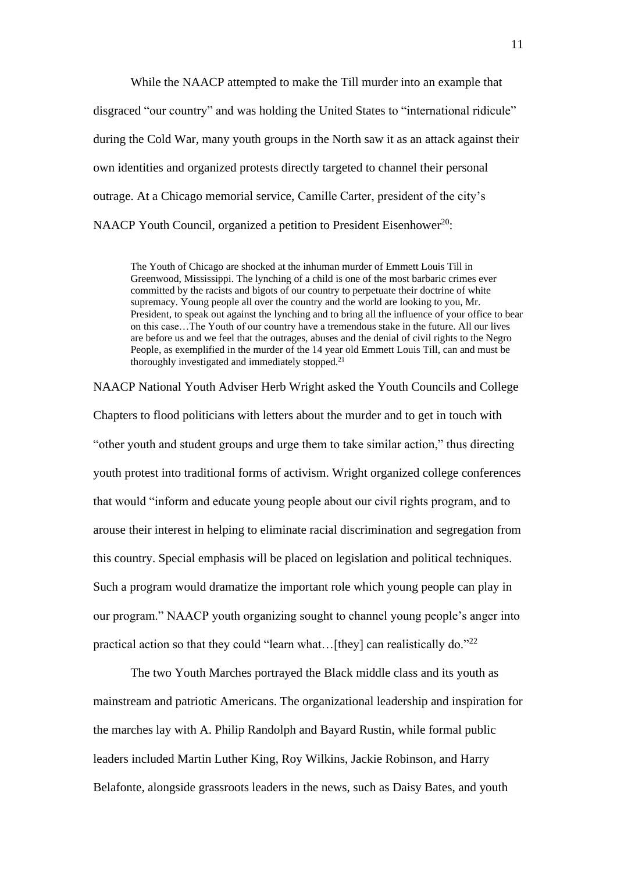While the NAACP attempted to make the Till murder into an example that disgraced "our country" and was holding the United States to "international ridicule" during the Cold War, many youth groups in the North saw it as an attack against their own identities and organized protests directly targeted to channel their personal outrage. At a Chicago memorial service, Camille Carter, president of the city's NAACP Youth Council, organized a petition to President Eisenhower<sup>20</sup>:

The Youth of Chicago are shocked at the inhuman murder of Emmett Louis Till in Greenwood, Mississippi. The lynching of a child is one of the most barbaric crimes ever committed by the racists and bigots of our country to perpetuate their doctrine of white supremacy. Young people all over the country and the world are looking to you, Mr. President, to speak out against the lynching and to bring all the influence of your office to bear on this case…The Youth of our country have a tremendous stake in the future. All our lives are before us and we feel that the outrages, abuses and the denial of civil rights to the Negro People, as exemplified in the murder of the 14 year old Emmett Louis Till, can and must be thoroughly investigated and immediately stopped.<sup>21</sup>

NAACP National Youth Adviser Herb Wright asked the Youth Councils and College Chapters to flood politicians with letters about the murder and to get in touch with "other youth and student groups and urge them to take similar action," thus directing youth protest into traditional forms of activism. Wright organized college conferences that would "inform and educate young people about our civil rights program, and to arouse their interest in helping to eliminate racial discrimination and segregation from this country. Special emphasis will be placed on legislation and political techniques. Such a program would dramatize the important role which young people can play in our program." NAACP youth organizing sought to channel young people's anger into practical action so that they could "learn what... [they] can realistically do."<sup>22</sup>

The two Youth Marches portrayed the Black middle class and its youth as mainstream and patriotic Americans. The organizational leadership and inspiration for the marches lay with A. Philip Randolph and Bayard Rustin, while formal public leaders included Martin Luther King, Roy Wilkins, Jackie Robinson, and Harry Belafonte, alongside grassroots leaders in the news, such as Daisy Bates, and youth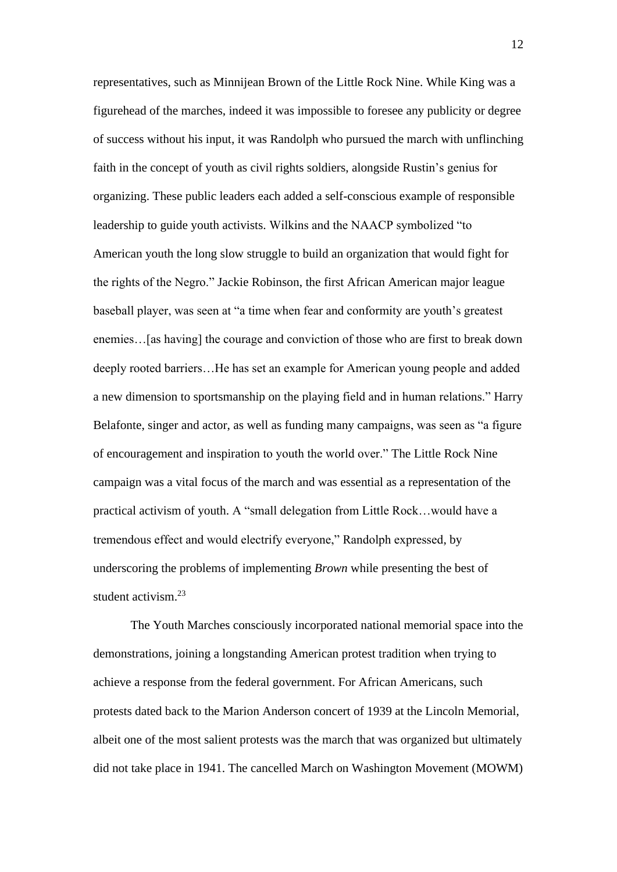representatives, such as Minnijean Brown of the Little Rock Nine. While King was a figurehead of the marches, indeed it was impossible to foresee any publicity or degree of success without his input, it was Randolph who pursued the march with unflinching faith in the concept of youth as civil rights soldiers, alongside Rustin's genius for organizing. These public leaders each added a self-conscious example of responsible leadership to guide youth activists. Wilkins and the NAACP symbolized "to American youth the long slow struggle to build an organization that would fight for the rights of the Negro." Jackie Robinson, the first African American major league baseball player, was seen at "a time when fear and conformity are youth's greatest enemies…[as having] the courage and conviction of those who are first to break down deeply rooted barriers…He has set an example for American young people and added a new dimension to sportsmanship on the playing field and in human relations." Harry Belafonte, singer and actor, as well as funding many campaigns, was seen as "a figure of encouragement and inspiration to youth the world over." The Little Rock Nine campaign was a vital focus of the march and was essential as a representation of the practical activism of youth. A "small delegation from Little Rock…would have a tremendous effect and would electrify everyone," Randolph expressed, by underscoring the problems of implementing *Brown* while presenting the best of student activism.<sup>23</sup>

The Youth Marches consciously incorporated national memorial space into the demonstrations, joining a longstanding American protest tradition when trying to achieve a response from the federal government. For African Americans, such protests dated back to the Marion Anderson concert of 1939 at the Lincoln Memorial, albeit one of the most salient protests was the march that was organized but ultimately did not take place in 1941. The cancelled March on Washington Movement (MOWM)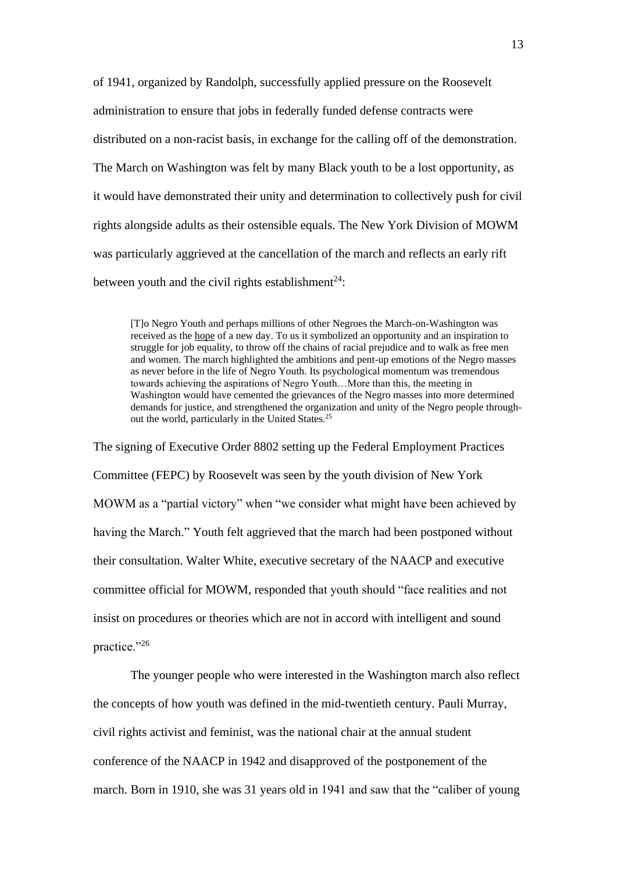of 1941, organized by Randolph, successfully applied pressure on the Roosevelt administration to ensure that jobs in federally funded defense contracts were distributed on a non-racist basis, in exchange for the calling off of the demonstration. The March on Washington was felt by many Black youth to be a lost opportunity, as it would have demonstrated their unity and determination to collectively push for civil rights alongside adults as their ostensible equals. The New York Division of MOWM was particularly aggrieved at the cancellation of the march and reflects an early rift between youth and the civil rights establishment<sup>24</sup>:

[T]o Negro Youth and perhaps millions of other Negroes the March-on-Washington was received as the hope of a new day. To us it symbolized an opportunity and an inspiration to struggle for job equality, to throw off the chains of racial prejudice and to walk as free men and women. The march highlighted the ambitions and pent-up emotions of the Negro masses as never before in the life of Negro Youth. Its psychological momentum was tremendous towards achieving the aspirations of Negro Youth…More than this, the meeting in Washington would have cemented the grievances of the Negro masses into more determined demands for justice, and strengthened the organization and unity of the Negro people throughout the world, particularly in the United States.<sup>25</sup>

The signing of Executive Order 8802 setting up the Federal Employment Practices Committee (FEPC) by Roosevelt was seen by the youth division of New York MOWM as a "partial victory" when "we consider what might have been achieved by having the March." Youth felt aggrieved that the march had been postponed without their consultation. Walter White, executive secretary of the NAACP and executive committee official for MOWM, responded that youth should "face realities and not insist on procedures or theories which are not in accord with intelligent and sound practice."26

The younger people who were interested in the Washington march also reflect the concepts of how youth was defined in the mid-twentieth century. Pauli Murray, civil rights activist and feminist, was the national chair at the annual student conference of the NAACP in 1942 and disapproved of the postponement of the march. Born in 1910, she was 31 years old in 1941 and saw that the "caliber of young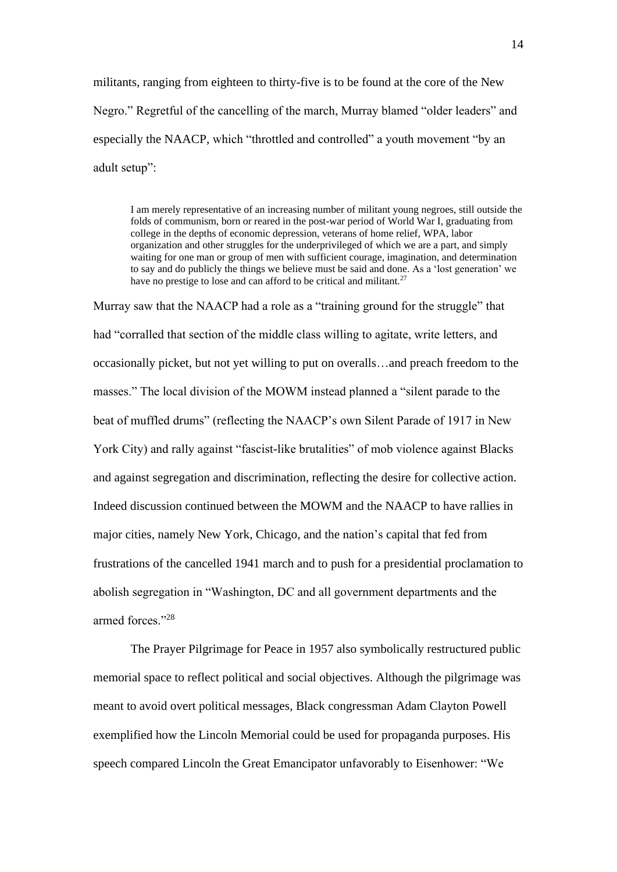militants, ranging from eighteen to thirty-five is to be found at the core of the New Negro." Regretful of the cancelling of the march, Murray blamed "older leaders" and especially the NAACP, which "throttled and controlled" a youth movement "by an adult setup":

I am merely representative of an increasing number of militant young negroes, still outside the folds of communism, born or reared in the post-war period of World War I, graduating from college in the depths of economic depression, veterans of home relief, WPA, labor organization and other struggles for the underprivileged of which we are a part, and simply waiting for one man or group of men with sufficient courage, imagination, and determination to say and do publicly the things we believe must be said and done. As a 'lost generation' we have no prestige to lose and can afford to be critical and militant.<sup>27</sup>

Murray saw that the NAACP had a role as a "training ground for the struggle" that had "corralled that section of the middle class willing to agitate, write letters, and occasionally picket, but not yet willing to put on overalls…and preach freedom to the masses." The local division of the MOWM instead planned a "silent parade to the beat of muffled drums" (reflecting the NAACP's own Silent Parade of 1917 in New York City) and rally against "fascist-like brutalities" of mob violence against Blacks and against segregation and discrimination, reflecting the desire for collective action. Indeed discussion continued between the MOWM and the NAACP to have rallies in major cities, namely New York, Chicago, and the nation's capital that fed from frustrations of the cancelled 1941 march and to push for a presidential proclamation to abolish segregation in "Washington, DC and all government departments and the armed forces<sup>"28</sup>

The Prayer Pilgrimage for Peace in 1957 also symbolically restructured public memorial space to reflect political and social objectives. Although the pilgrimage was meant to avoid overt political messages, Black congressman Adam Clayton Powell exemplified how the Lincoln Memorial could be used for propaganda purposes. His speech compared Lincoln the Great Emancipator unfavorably to Eisenhower: "We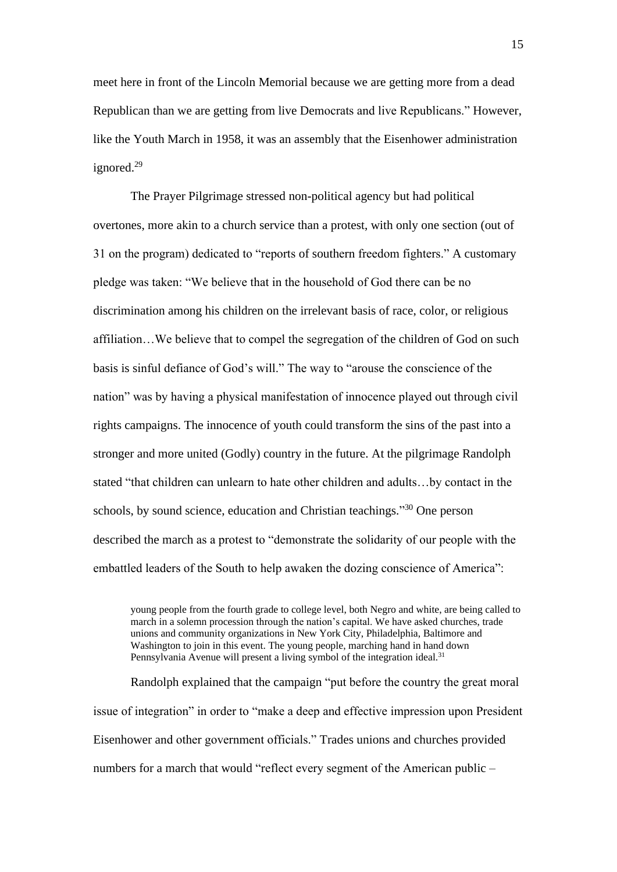meet here in front of the Lincoln Memorial because we are getting more from a dead Republican than we are getting from live Democrats and live Republicans." However, like the Youth March in 1958, it was an assembly that the Eisenhower administration ignored.<sup>29</sup>

The Prayer Pilgrimage stressed non-political agency but had political overtones, more akin to a church service than a protest, with only one section (out of 31 on the program) dedicated to "reports of southern freedom fighters." A customary pledge was taken: "We believe that in the household of God there can be no discrimination among his children on the irrelevant basis of race, color, or religious affiliation…We believe that to compel the segregation of the children of God on such basis is sinful defiance of God's will." The way to "arouse the conscience of the nation" was by having a physical manifestation of innocence played out through civil rights campaigns. The innocence of youth could transform the sins of the past into a stronger and more united (Godly) country in the future. At the pilgrimage Randolph stated "that children can unlearn to hate other children and adults…by contact in the schools, by sound science, education and Christian teachings."<sup>30</sup> One person described the march as a protest to "demonstrate the solidarity of our people with the embattled leaders of the South to help awaken the dozing conscience of America":

young people from the fourth grade to college level, both Negro and white, are being called to march in a solemn procession through the nation's capital. We have asked churches, trade unions and community organizations in New York City, Philadelphia, Baltimore and Washington to join in this event. The young people, marching hand in hand down Pennsylvania Avenue will present a living symbol of the integration ideal.<sup>31</sup>

Randolph explained that the campaign "put before the country the great moral issue of integration" in order to "make a deep and effective impression upon President Eisenhower and other government officials." Trades unions and churches provided numbers for a march that would "reflect every segment of the American public –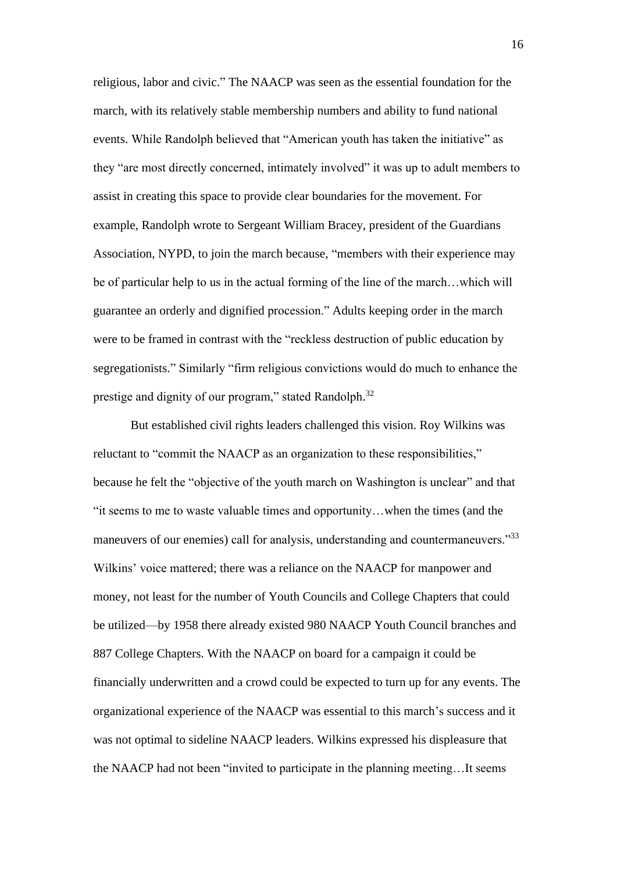religious, labor and civic." The NAACP was seen as the essential foundation for the march, with its relatively stable membership numbers and ability to fund national events. While Randolph believed that "American youth has taken the initiative" as they "are most directly concerned, intimately involved" it was up to adult members to assist in creating this space to provide clear boundaries for the movement. For example, Randolph wrote to Sergeant William Bracey, president of the Guardians Association, NYPD, to join the march because, "members with their experience may be of particular help to us in the actual forming of the line of the march…which will guarantee an orderly and dignified procession." Adults keeping order in the march were to be framed in contrast with the "reckless destruction of public education by segregationists." Similarly "firm religious convictions would do much to enhance the prestige and dignity of our program," stated Randolph.<sup>32</sup>

But established civil rights leaders challenged this vision. Roy Wilkins was reluctant to "commit the NAACP as an organization to these responsibilities," because he felt the "objective of the youth march on Washington is unclear" and that "it seems to me to waste valuable times and opportunity…when the times (and the maneuvers of our enemies) call for analysis, understanding and countermaneuvers."<sup>33</sup> Wilkins' voice mattered; there was a reliance on the NAACP for manpower and money, not least for the number of Youth Councils and College Chapters that could be utilized—by 1958 there already existed 980 NAACP Youth Council branches and 887 College Chapters. With the NAACP on board for a campaign it could be financially underwritten and a crowd could be expected to turn up for any events. The organizational experience of the NAACP was essential to this march's success and it was not optimal to sideline NAACP leaders. Wilkins expressed his displeasure that the NAACP had not been "invited to participate in the planning meeting…It seems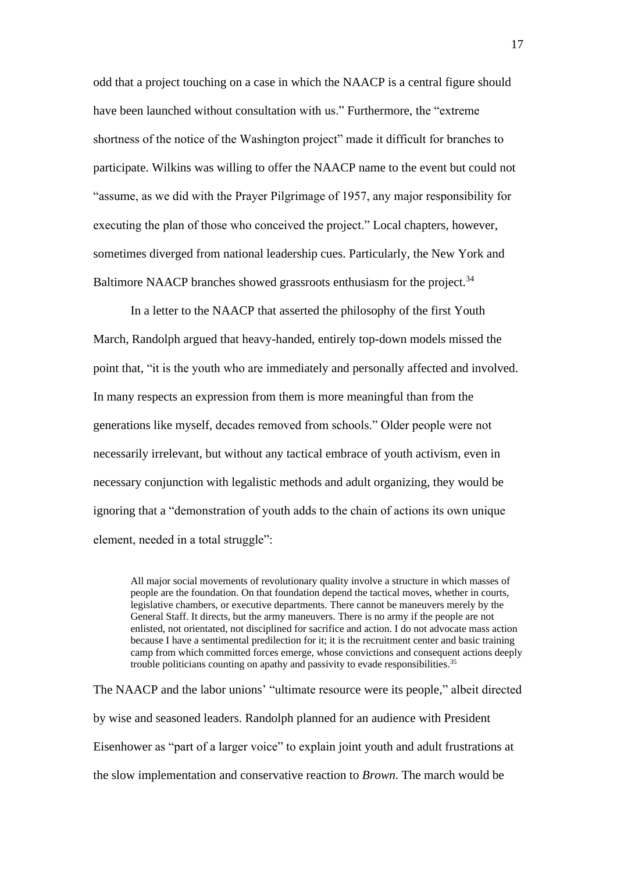odd that a project touching on a case in which the NAACP is a central figure should have been launched without consultation with us." Furthermore, the "extreme shortness of the notice of the Washington project" made it difficult for branches to participate. Wilkins was willing to offer the NAACP name to the event but could not "assume, as we did with the Prayer Pilgrimage of 1957, any major responsibility for executing the plan of those who conceived the project." Local chapters, however, sometimes diverged from national leadership cues. Particularly, the New York and Baltimore NAACP branches showed grassroots enthusiasm for the project. $34$ 

In a letter to the NAACP that asserted the philosophy of the first Youth March, Randolph argued that heavy-handed, entirely top-down models missed the point that, "it is the youth who are immediately and personally affected and involved. In many respects an expression from them is more meaningful than from the generations like myself, decades removed from schools." Older people were not necessarily irrelevant, but without any tactical embrace of youth activism, even in necessary conjunction with legalistic methods and adult organizing, they would be ignoring that a "demonstration of youth adds to the chain of actions its own unique element, needed in a total struggle":

All major social movements of revolutionary quality involve a structure in which masses of people are the foundation. On that foundation depend the tactical moves, whether in courts, legislative chambers, or executive departments. There cannot be maneuvers merely by the General Staff. It directs, but the army maneuvers. There is no army if the people are not enlisted, not orientated, not disciplined for sacrifice and action. I do not advocate mass action because I have a sentimental predilection for it; it is the recruitment center and basic training camp from which committed forces emerge, whose convictions and consequent actions deeply trouble politicians counting on apathy and passivity to evade responsibilities.<sup>35</sup>

The NAACP and the labor unions' "ultimate resource were its people," albeit directed by wise and seasoned leaders. Randolph planned for an audience with President Eisenhower as "part of a larger voice" to explain joint youth and adult frustrations at the slow implementation and conservative reaction to *Brown*. The march would be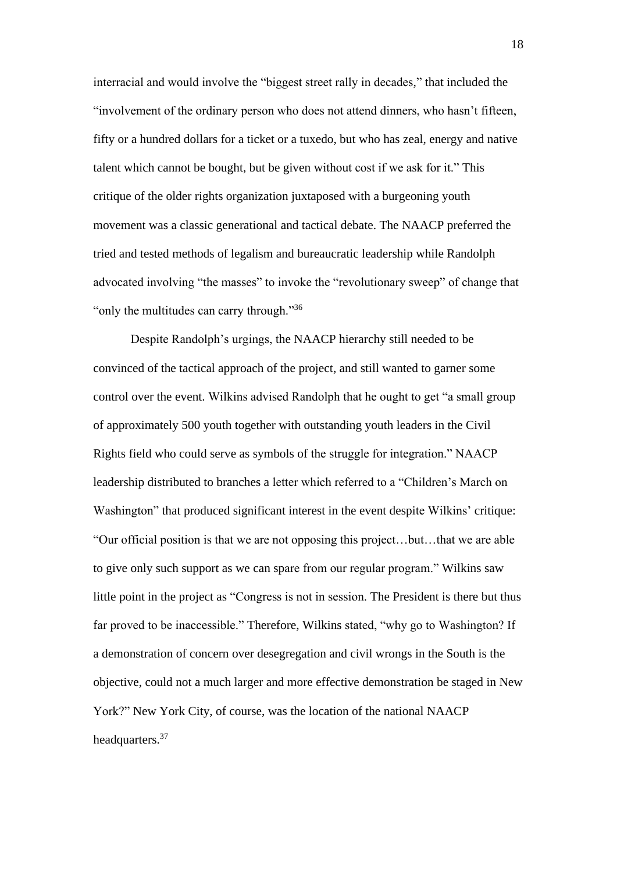interracial and would involve the "biggest street rally in decades," that included the "involvement of the ordinary person who does not attend dinners, who hasn't fifteen, fifty or a hundred dollars for a ticket or a tuxedo, but who has zeal, energy and native talent which cannot be bought, but be given without cost if we ask for it." This critique of the older rights organization juxtaposed with a burgeoning youth movement was a classic generational and tactical debate. The NAACP preferred the tried and tested methods of legalism and bureaucratic leadership while Randolph advocated involving "the masses" to invoke the "revolutionary sweep" of change that "only the multitudes can carry through."<sup>36</sup>

Despite Randolph's urgings, the NAACP hierarchy still needed to be convinced of the tactical approach of the project, and still wanted to garner some control over the event. Wilkins advised Randolph that he ought to get "a small group of approximately 500 youth together with outstanding youth leaders in the Civil Rights field who could serve as symbols of the struggle for integration." NAACP leadership distributed to branches a letter which referred to a "Children's March on Washington" that produced significant interest in the event despite Wilkins' critique: "Our official position is that we are not opposing this project…but…that we are able to give only such support as we can spare from our regular program." Wilkins saw little point in the project as "Congress is not in session. The President is there but thus far proved to be inaccessible." Therefore, Wilkins stated, "why go to Washington? If a demonstration of concern over desegregation and civil wrongs in the South is the objective, could not a much larger and more effective demonstration be staged in New York?" New York City, of course, was the location of the national NAACP headquarters.<sup>37</sup>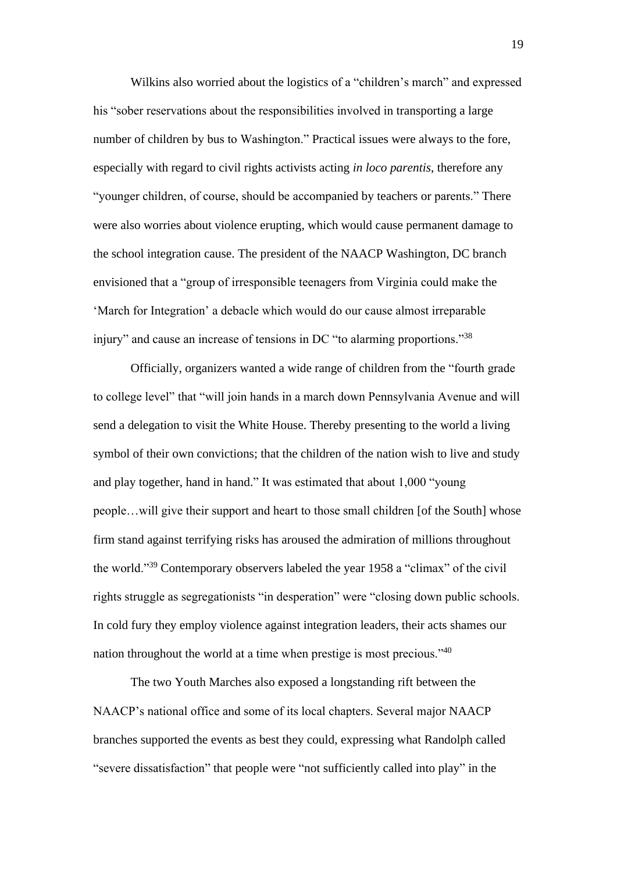Wilkins also worried about the logistics of a "children's march" and expressed his "sober reservations about the responsibilities involved in transporting a large number of children by bus to Washington." Practical issues were always to the fore, especially with regard to civil rights activists acting *in loco parentis*, therefore any "younger children, of course, should be accompanied by teachers or parents." There were also worries about violence erupting, which would cause permanent damage to the school integration cause. The president of the NAACP Washington, DC branch envisioned that a "group of irresponsible teenagers from Virginia could make the 'March for Integration' a debacle which would do our cause almost irreparable injury" and cause an increase of tensions in DC "to alarming proportions."<sup>38</sup>

Officially, organizers wanted a wide range of children from the "fourth grade to college level" that "will join hands in a march down Pennsylvania Avenue and will send a delegation to visit the White House. Thereby presenting to the world a living symbol of their own convictions; that the children of the nation wish to live and study and play together, hand in hand." It was estimated that about 1,000 "young people…will give their support and heart to those small children [of the South] whose firm stand against terrifying risks has aroused the admiration of millions throughout the world."<sup>39</sup> Contemporary observers labeled the year 1958 a "climax" of the civil rights struggle as segregationists "in desperation" were "closing down public schools. In cold fury they employ violence against integration leaders, their acts shames our nation throughout the world at a time when prestige is most precious."<sup>40</sup>

The two Youth Marches also exposed a longstanding rift between the NAACP's national office and some of its local chapters. Several major NAACP branches supported the events as best they could, expressing what Randolph called "severe dissatisfaction" that people were "not sufficiently called into play" in the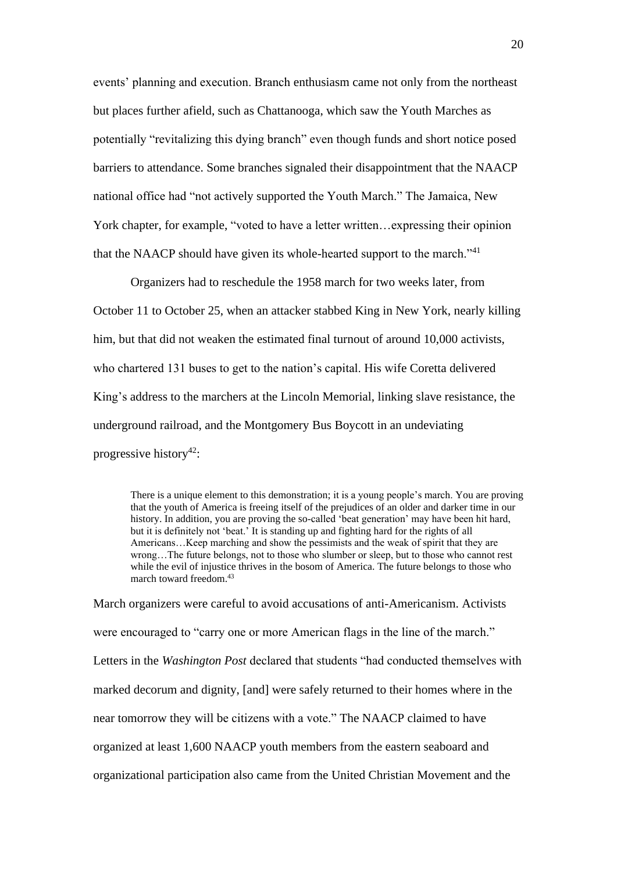events' planning and execution. Branch enthusiasm came not only from the northeast but places further afield, such as Chattanooga, which saw the Youth Marches as potentially "revitalizing this dying branch" even though funds and short notice posed barriers to attendance. Some branches signaled their disappointment that the NAACP national office had "not actively supported the Youth March." The Jamaica, New York chapter, for example, "voted to have a letter written…expressing their opinion that the NAACP should have given its whole-hearted support to the march."<sup>41</sup>

Organizers had to reschedule the 1958 march for two weeks later, from October 11 to October 25, when an attacker stabbed King in New York, nearly killing him, but that did not weaken the estimated final turnout of around 10,000 activists, who chartered 131 buses to get to the nation's capital. His wife Coretta delivered King's address to the marchers at the Lincoln Memorial, linking slave resistance, the underground railroad, and the Montgomery Bus Boycott in an undeviating progressive history<sup>42</sup>:

There is a unique element to this demonstration; it is a young people's march. You are proving that the youth of America is freeing itself of the prejudices of an older and darker time in our history. In addition, you are proving the so-called 'beat generation' may have been hit hard, but it is definitely not 'beat.' It is standing up and fighting hard for the rights of all Americans…Keep marching and show the pessimists and the weak of spirit that they are wrong…The future belongs, not to those who slumber or sleep, but to those who cannot rest while the evil of injustice thrives in the bosom of America. The future belongs to those who march toward freedom.<sup>43</sup>

March organizers were careful to avoid accusations of anti-Americanism. Activists were encouraged to "carry one or more American flags in the line of the march." Letters in the *Washington Post* declared that students "had conducted themselves with marked decorum and dignity, [and] were safely returned to their homes where in the near tomorrow they will be citizens with a vote." The NAACP claimed to have organized at least 1,600 NAACP youth members from the eastern seaboard and organizational participation also came from the United Christian Movement and the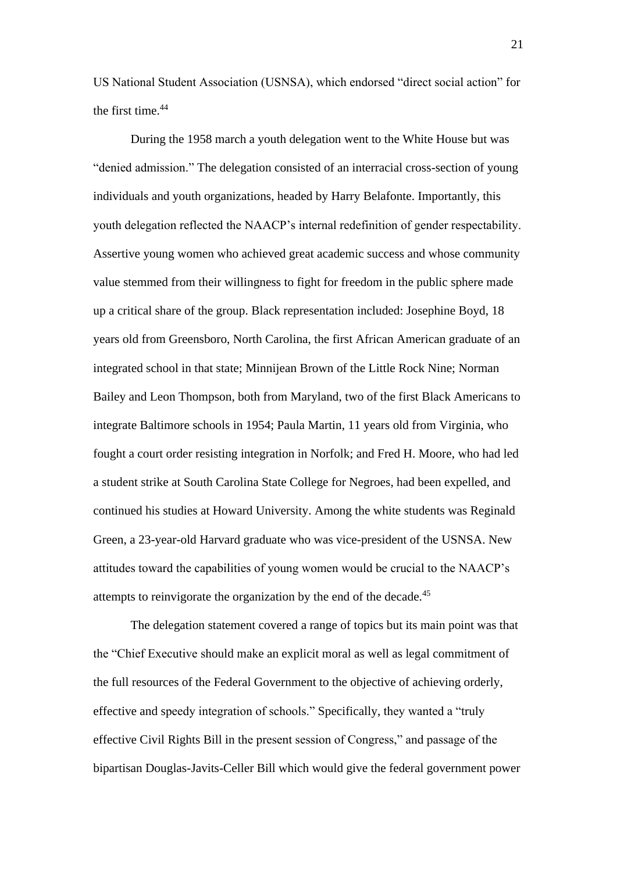US National Student Association (USNSA), which endorsed "direct social action" for the first time.<sup>44</sup>

During the 1958 march a youth delegation went to the White House but was "denied admission." The delegation consisted of an interracial cross-section of young individuals and youth organizations, headed by Harry Belafonte. Importantly, this youth delegation reflected the NAACP's internal redefinition of gender respectability. Assertive young women who achieved great academic success and whose community value stemmed from their willingness to fight for freedom in the public sphere made up a critical share of the group. Black representation included: Josephine Boyd, 18 years old from Greensboro, North Carolina, the first African American graduate of an integrated school in that state; Minnijean Brown of the Little Rock Nine; Norman Bailey and Leon Thompson, both from Maryland, two of the first Black Americans to integrate Baltimore schools in 1954; Paula Martin, 11 years old from Virginia, who fought a court order resisting integration in Norfolk; and Fred H. Moore, who had led a student strike at South Carolina State College for Negroes, had been expelled, and continued his studies at Howard University. Among the white students was Reginald Green, a 23-year-old Harvard graduate who was vice-president of the USNSA. New attitudes toward the capabilities of young women would be crucial to the NAACP's attempts to reinvigorate the organization by the end of the decade.<sup>45</sup>

The delegation statement covered a range of topics but its main point was that the "Chief Executive should make an explicit moral as well as legal commitment of the full resources of the Federal Government to the objective of achieving orderly, effective and speedy integration of schools." Specifically, they wanted a "truly effective Civil Rights Bill in the present session of Congress," and passage of the bipartisan Douglas-Javits-Celler Bill which would give the federal government power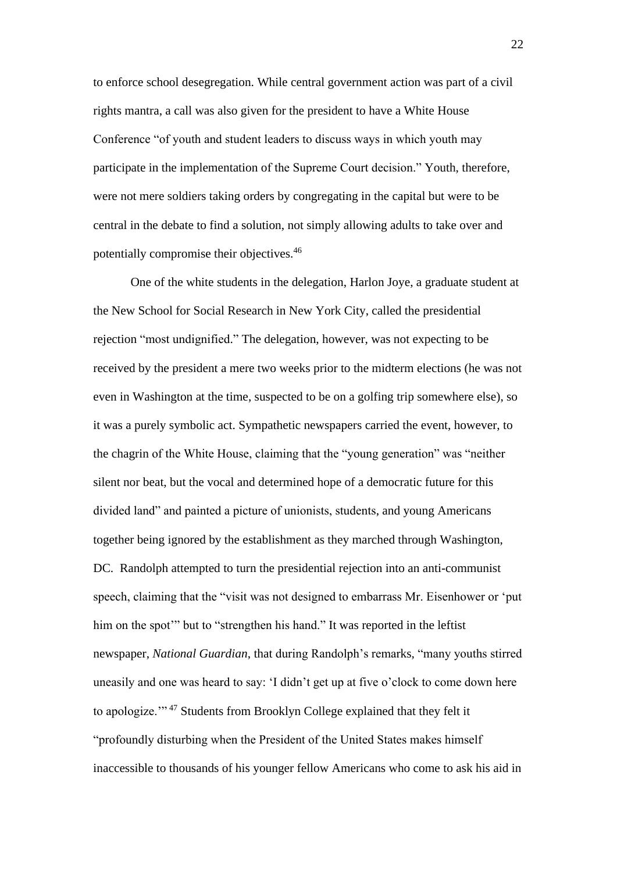to enforce school desegregation. While central government action was part of a civil rights mantra, a call was also given for the president to have a White House Conference "of youth and student leaders to discuss ways in which youth may participate in the implementation of the Supreme Court decision." Youth, therefore, were not mere soldiers taking orders by congregating in the capital but were to be central in the debate to find a solution, not simply allowing adults to take over and potentially compromise their objectives.<sup>46</sup>

One of the white students in the delegation, Harlon Joye, a graduate student at the New School for Social Research in New York City, called the presidential rejection "most undignified." The delegation, however, was not expecting to be received by the president a mere two weeks prior to the midterm elections (he was not even in Washington at the time, suspected to be on a golfing trip somewhere else), so it was a purely symbolic act. Sympathetic newspapers carried the event, however, to the chagrin of the White House, claiming that the "young generation" was "neither silent nor beat, but the vocal and determined hope of a democratic future for this divided land" and painted a picture of unionists, students, and young Americans together being ignored by the establishment as they marched through Washington, DC. Randolph attempted to turn the presidential rejection into an anti-communist speech, claiming that the "visit was not designed to embarrass Mr. Eisenhower or 'put him on the spot<sup>"</sup> but to "strengthen his hand." It was reported in the leftist newspaper, *National Guardian*, that during Randolph's remarks, "many youths stirred uneasily and one was heard to say: 'I didn't get up at five o'clock to come down here to apologize.'" <sup>47</sup> Students from Brooklyn College explained that they felt it "profoundly disturbing when the President of the United States makes himself inaccessible to thousands of his younger fellow Americans who come to ask his aid in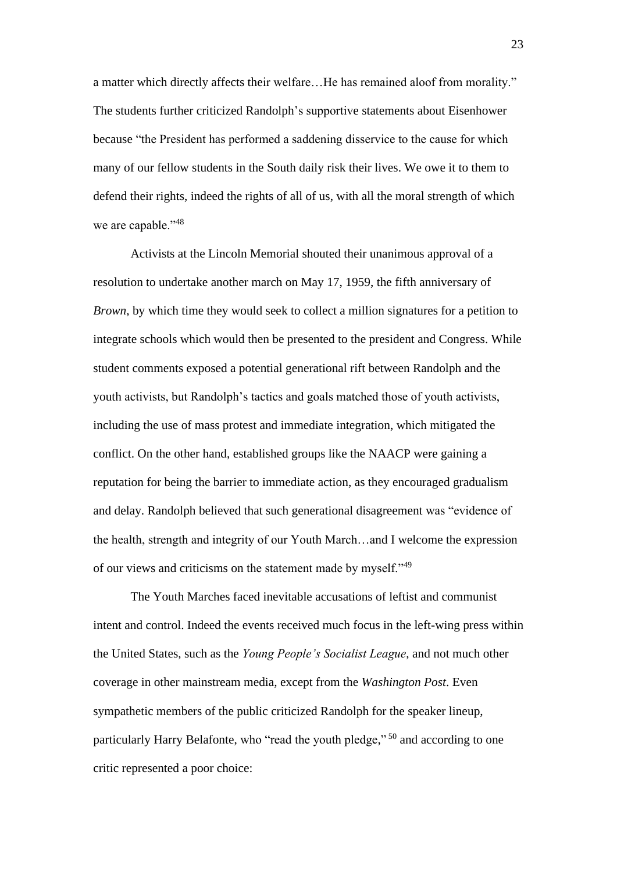a matter which directly affects their welfare…He has remained aloof from morality." The students further criticized Randolph's supportive statements about Eisenhower because "the President has performed a saddening disservice to the cause for which many of our fellow students in the South daily risk their lives. We owe it to them to defend their rights, indeed the rights of all of us, with all the moral strength of which we are capable."<sup>48</sup>

Activists at the Lincoln Memorial shouted their unanimous approval of a resolution to undertake another march on May 17, 1959, the fifth anniversary of *Brown*, by which time they would seek to collect a million signatures for a petition to integrate schools which would then be presented to the president and Congress. While student comments exposed a potential generational rift between Randolph and the youth activists, but Randolph's tactics and goals matched those of youth activists, including the use of mass protest and immediate integration, which mitigated the conflict. On the other hand, established groups like the NAACP were gaining a reputation for being the barrier to immediate action, as they encouraged gradualism and delay. Randolph believed that such generational disagreement was "evidence of the health, strength and integrity of our Youth March…and I welcome the expression of our views and criticisms on the statement made by myself."<sup>49</sup>

The Youth Marches faced inevitable accusations of leftist and communist intent and control. Indeed the events received much focus in the left-wing press within the United States, such as the *Young People's Socialist League*, and not much other coverage in other mainstream media, except from the *Washington Post*. Even sympathetic members of the public criticized Randolph for the speaker lineup, particularly Harry Belafonte, who "read the youth pledge,"<sup>50</sup> and according to one critic represented a poor choice: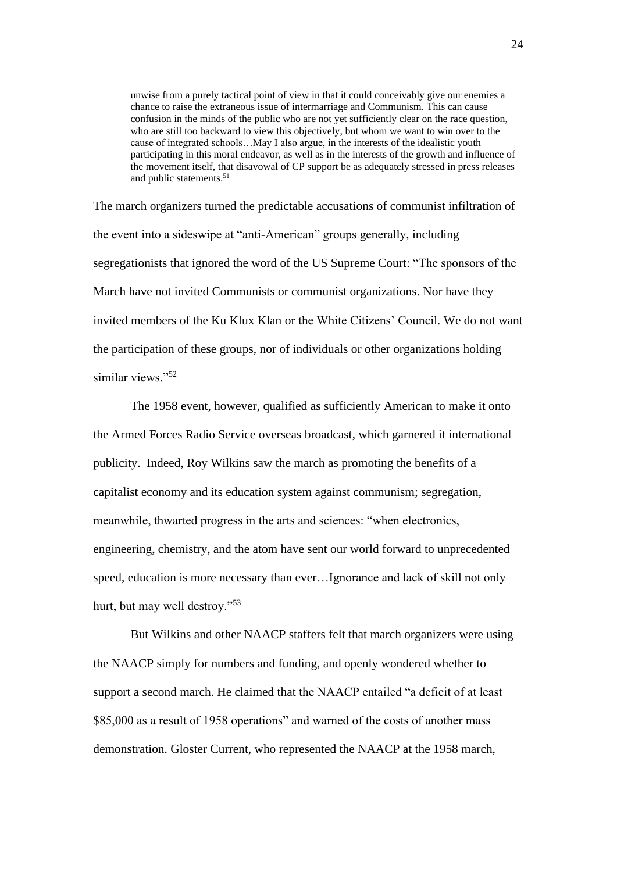unwise from a purely tactical point of view in that it could conceivably give our enemies a chance to raise the extraneous issue of intermarriage and Communism. This can cause confusion in the minds of the public who are not yet sufficiently clear on the race question, who are still too backward to view this objectively, but whom we want to win over to the cause of integrated schools…May I also argue, in the interests of the idealistic youth participating in this moral endeavor, as well as in the interests of the growth and influence of the movement itself, that disavowal of CP support be as adequately stressed in press releases and public statements.<sup>51</sup>

The march organizers turned the predictable accusations of communist infiltration of the event into a sideswipe at "anti-American" groups generally, including segregationists that ignored the word of the US Supreme Court: "The sponsors of the March have not invited Communists or communist organizations. Nor have they invited members of the Ku Klux Klan or the White Citizens' Council. We do not want the participation of these groups, nor of individuals or other organizations holding similar views."<sup>52</sup>

The 1958 event, however, qualified as sufficiently American to make it onto the Armed Forces Radio Service overseas broadcast, which garnered it international publicity. Indeed, Roy Wilkins saw the march as promoting the benefits of a capitalist economy and its education system against communism; segregation, meanwhile, thwarted progress in the arts and sciences: "when electronics, engineering, chemistry, and the atom have sent our world forward to unprecedented speed, education is more necessary than ever…Ignorance and lack of skill not only hurt, but may well destroy."<sup>53</sup>

But Wilkins and other NAACP staffers felt that march organizers were using the NAACP simply for numbers and funding, and openly wondered whether to support a second march. He claimed that the NAACP entailed "a deficit of at least \$85,000 as a result of 1958 operations" and warned of the costs of another mass demonstration. Gloster Current, who represented the NAACP at the 1958 march,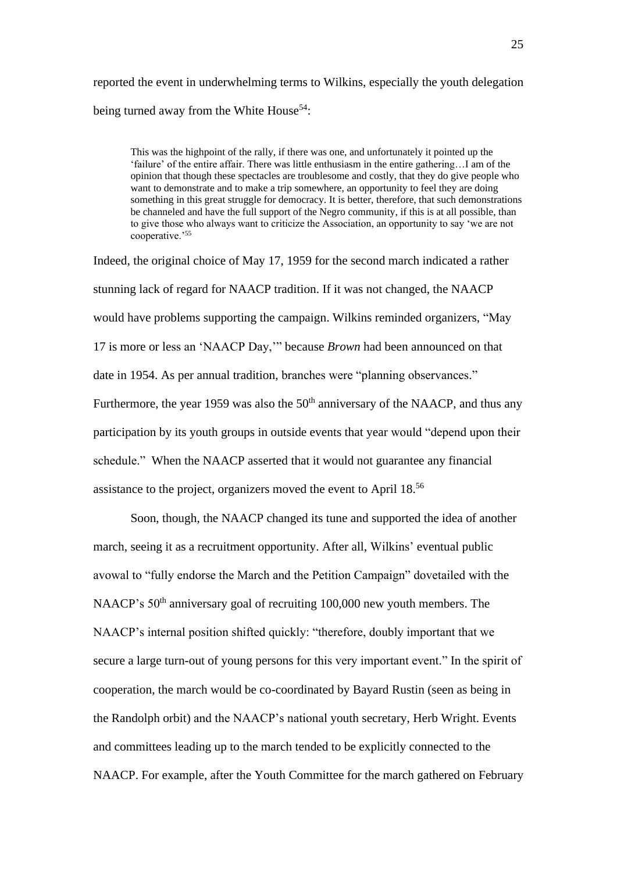reported the event in underwhelming terms to Wilkins, especially the youth delegation being turned away from the White House<sup>54</sup>:

This was the highpoint of the rally, if there was one, and unfortunately it pointed up the 'failure' of the entire affair. There was little enthusiasm in the entire gathering…I am of the opinion that though these spectacles are troublesome and costly, that they do give people who want to demonstrate and to make a trip somewhere, an opportunity to feel they are doing something in this great struggle for democracy. It is better, therefore, that such demonstrations be channeled and have the full support of the Negro community, if this is at all possible, than to give those who always want to criticize the Association, an opportunity to say 'we are not cooperative.'<sup>55</sup>

Indeed, the original choice of May 17, 1959 for the second march indicated a rather stunning lack of regard for NAACP tradition. If it was not changed, the NAACP would have problems supporting the campaign. Wilkins reminded organizers, "May 17 is more or less an 'NAACP Day,'" because *Brown* had been announced on that date in 1954. As per annual tradition, branches were "planning observances." Furthermore, the year 1959 was also the  $50<sup>th</sup>$  anniversary of the NAACP, and thus any participation by its youth groups in outside events that year would "depend upon their schedule." When the NAACP asserted that it would not guarantee any financial assistance to the project, organizers moved the event to April 18. 56

Soon, though, the NAACP changed its tune and supported the idea of another march, seeing it as a recruitment opportunity. After all, Wilkins' eventual public avowal to "fully endorse the March and the Petition Campaign" dovetailed with the NAACP's 50<sup>th</sup> anniversary goal of recruiting 100,000 new youth members. The NAACP's internal position shifted quickly: "therefore, doubly important that we secure a large turn-out of young persons for this very important event." In the spirit of cooperation, the march would be co-coordinated by Bayard Rustin (seen as being in the Randolph orbit) and the NAACP's national youth secretary, Herb Wright. Events and committees leading up to the march tended to be explicitly connected to the NAACP. For example, after the Youth Committee for the march gathered on February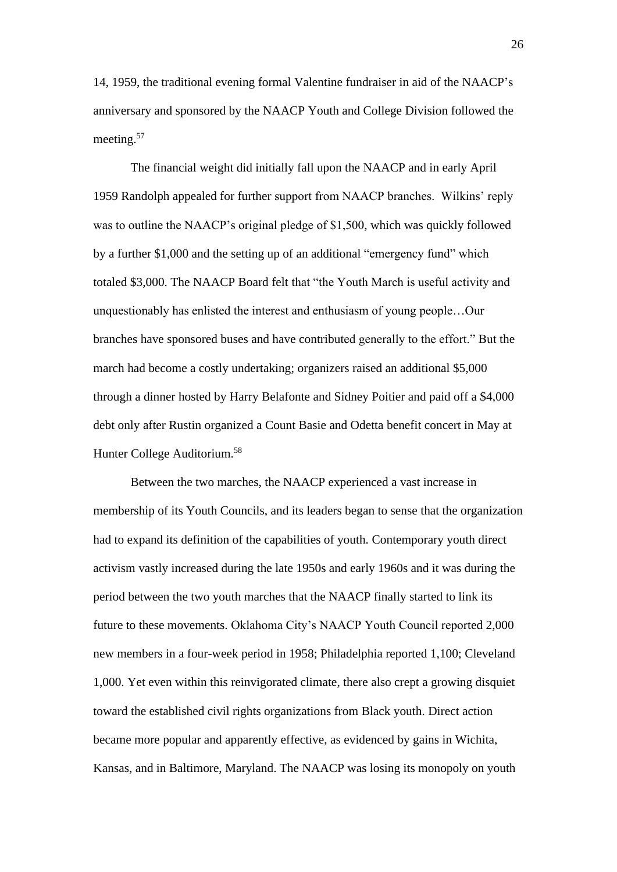14, 1959, the traditional evening formal Valentine fundraiser in aid of the NAACP's anniversary and sponsored by the NAACP Youth and College Division followed the meeting. 57

The financial weight did initially fall upon the NAACP and in early April 1959 Randolph appealed for further support from NAACP branches. Wilkins' reply was to outline the NAACP's original pledge of \$1,500, which was quickly followed by a further \$1,000 and the setting up of an additional "emergency fund" which totaled \$3,000. The NAACP Board felt that "the Youth March is useful activity and unquestionably has enlisted the interest and enthusiasm of young people…Our branches have sponsored buses and have contributed generally to the effort." But the march had become a costly undertaking; organizers raised an additional \$5,000 through a dinner hosted by Harry Belafonte and Sidney Poitier and paid off a \$4,000 debt only after Rustin organized a Count Basie and Odetta benefit concert in May at Hunter College Auditorium. 58

Between the two marches, the NAACP experienced a vast increase in membership of its Youth Councils, and its leaders began to sense that the organization had to expand its definition of the capabilities of youth. Contemporary youth direct activism vastly increased during the late 1950s and early 1960s and it was during the period between the two youth marches that the NAACP finally started to link its future to these movements. Oklahoma City's NAACP Youth Council reported 2,000 new members in a four-week period in 1958; Philadelphia reported 1,100; Cleveland 1,000. Yet even within this reinvigorated climate, there also crept a growing disquiet toward the established civil rights organizations from Black youth. Direct action became more popular and apparently effective, as evidenced by gains in Wichita, Kansas, and in Baltimore, Maryland. The NAACP was losing its monopoly on youth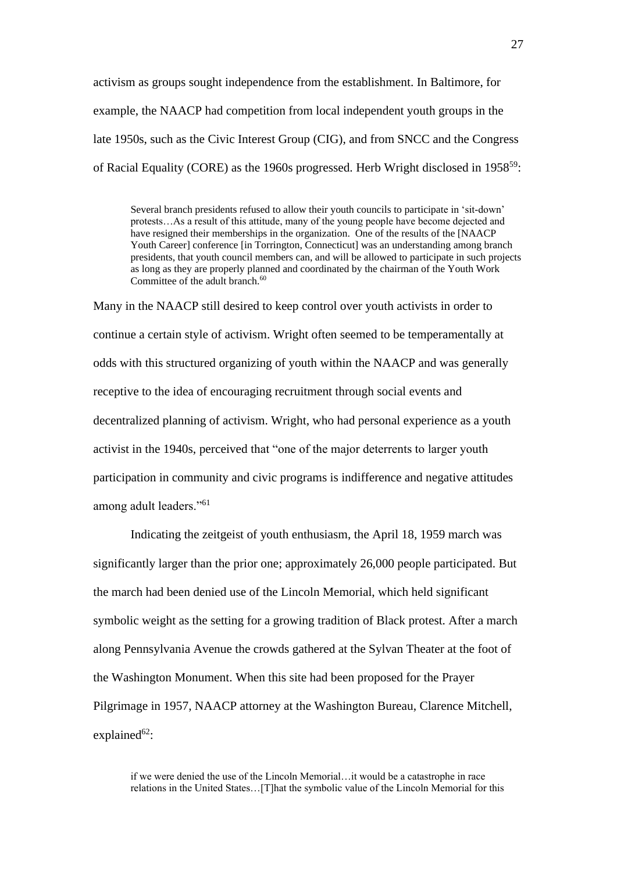activism as groups sought independence from the establishment. In Baltimore, for example, the NAACP had competition from local independent youth groups in the late 1950s, such as the Civic Interest Group (CIG), and from SNCC and the Congress of Racial Equality (CORE) as the 1960s progressed. Herb Wright disclosed in 1958<sup>59</sup>:

Several branch presidents refused to allow their youth councils to participate in 'sit-down' protests…As a result of this attitude, many of the young people have become dejected and have resigned their memberships in the organization. One of the results of the [NAACP Youth Career] conference [in Torrington, Connecticut] was an understanding among branch presidents, that youth council members can, and will be allowed to participate in such projects as long as they are properly planned and coordinated by the chairman of the Youth Work Committee of the adult branch.<sup>60</sup>

Many in the NAACP still desired to keep control over youth activists in order to continue a certain style of activism. Wright often seemed to be temperamentally at odds with this structured organizing of youth within the NAACP and was generally receptive to the idea of encouraging recruitment through social events and decentralized planning of activism. Wright, who had personal experience as a youth activist in the 1940s, perceived that "one of the major deterrents to larger youth participation in community and civic programs is indifference and negative attitudes among adult leaders."<sup>61</sup>

Indicating the zeitgeist of youth enthusiasm, the April 18, 1959 march was significantly larger than the prior one; approximately 26,000 people participated. But the march had been denied use of the Lincoln Memorial, which held significant symbolic weight as the setting for a growing tradition of Black protest. After a march along Pennsylvania Avenue the crowds gathered at the Sylvan Theater at the foot of the Washington Monument. When this site had been proposed for the Prayer Pilgrimage in 1957, NAACP attorney at the Washington Bureau, Clarence Mitchell, explained $62$ :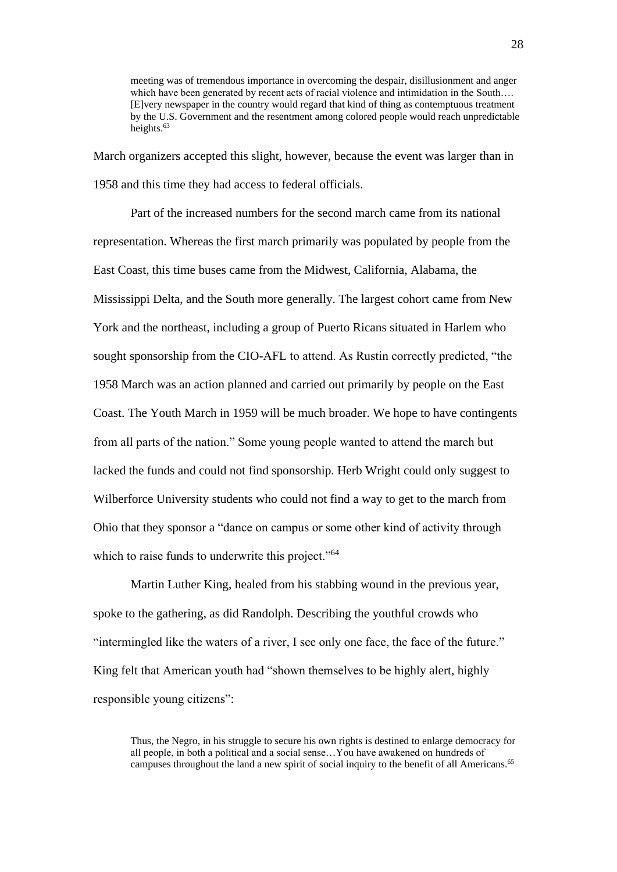meeting was of tremendous importance in overcoming the despair, disillusionment and anger which have been generated by recent acts of racial violence and intimidation in the South.... [E]very newspaper in the country would regard that kind of thing as contemptuous treatment by the U.S. Government and the resentment among colored people would reach unpredictable heights.<sup>63</sup>

March organizers accepted this slight, however, because the event was larger than in 1958 and this time they had access to federal officials.

Part of the increased numbers for the second march came from its national representation. Whereas the first march primarily was populated by people from the East Coast, this time buses came from the Midwest, California, Alabama, the Mississippi Delta, and the South more generally. The largest cohort came from New York and the northeast, including a group of Puerto Ricans situated in Harlem who sought sponsorship from the CIO-AFL to attend. As Rustin correctly predicted, "the 1958 March was an action planned and carried out primarily by people on the East Coast. The Youth March in 1959 will be much broader. We hope to have contingents from all parts of the nation." Some young people wanted to attend the march but lacked the funds and could not find sponsorship. Herb Wright could only suggest to Wilberforce University students who could not find a way to get to the march from Ohio that they sponsor a "dance on campus or some other kind of activity through which to raise funds to underwrite this project."<sup>64</sup>

Martin Luther King, healed from his stabbing wound in the previous year, spoke to the gathering, as did Randolph. Describing the youthful crowds who "intermingled like the waters of a river, I see only one face, the face of the future." King felt that American youth had "shown themselves to be highly alert, highly responsible young citizens":

Thus, the Negro, in his struggle to secure his own rights is destined to enlarge democracy for all people, in both a political and a social sense…You have awakened on hundreds of campuses throughout the land a new spirit of social inquiry to the benefit of all Americans.<sup>65</sup>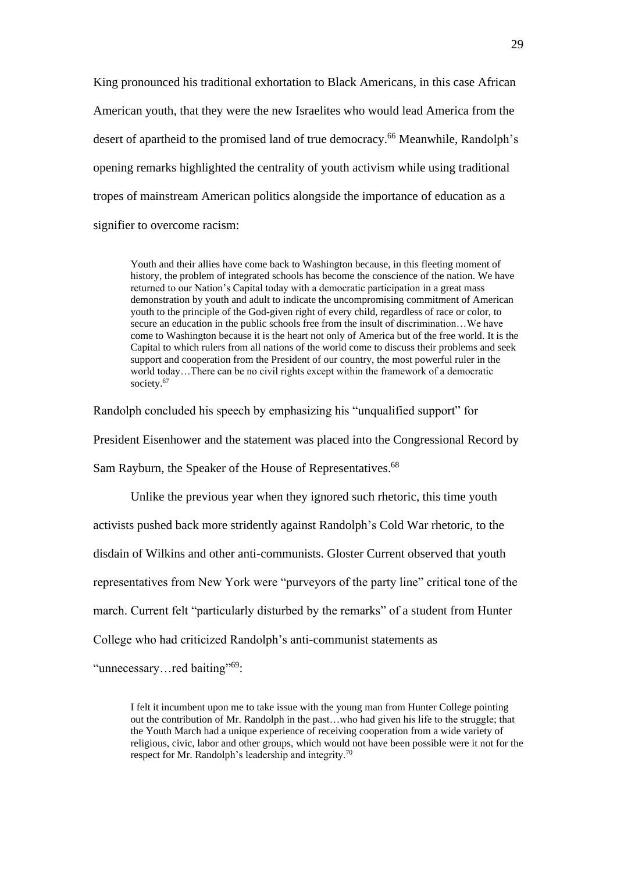King pronounced his traditional exhortation to Black Americans, in this case African American youth, that they were the new Israelites who would lead America from the desert of apartheid to the promised land of true democracy.<sup>66</sup> Meanwhile, Randolph's opening remarks highlighted the centrality of youth activism while using traditional tropes of mainstream American politics alongside the importance of education as a signifier to overcome racism:

Youth and their allies have come back to Washington because, in this fleeting moment of history, the problem of integrated schools has become the conscience of the nation. We have returned to our Nation's Capital today with a democratic participation in a great mass demonstration by youth and adult to indicate the uncompromising commitment of American youth to the principle of the God-given right of every child, regardless of race or color, to secure an education in the public schools free from the insult of discrimination…We have come to Washington because it is the heart not only of America but of the free world. It is the Capital to which rulers from all nations of the world come to discuss their problems and seek support and cooperation from the President of our country, the most powerful ruler in the world today…There can be no civil rights except within the framework of a democratic society.<sup>67</sup>

Randolph concluded his speech by emphasizing his "unqualified support" for

President Eisenhower and the statement was placed into the Congressional Record by

Sam Rayburn, the Speaker of the House of Representatives.<sup>68</sup>

Unlike the previous year when they ignored such rhetoric, this time youth activists pushed back more stridently against Randolph's Cold War rhetoric, to the disdain of Wilkins and other anti-communists. Gloster Current observed that youth representatives from New York were "purveyors of the party line" critical tone of the march. Current felt "particularly disturbed by the remarks" of a student from Hunter College who had criticized Randolph's anti-communist statements as

"unnecessary...red baiting"<sup>69</sup>:

I felt it incumbent upon me to take issue with the young man from Hunter College pointing out the contribution of Mr. Randolph in the past…who had given his life to the struggle; that the Youth March had a unique experience of receiving cooperation from a wide variety of religious, civic, labor and other groups, which would not have been possible were it not for the respect for Mr. Randolph's leadership and integrity.70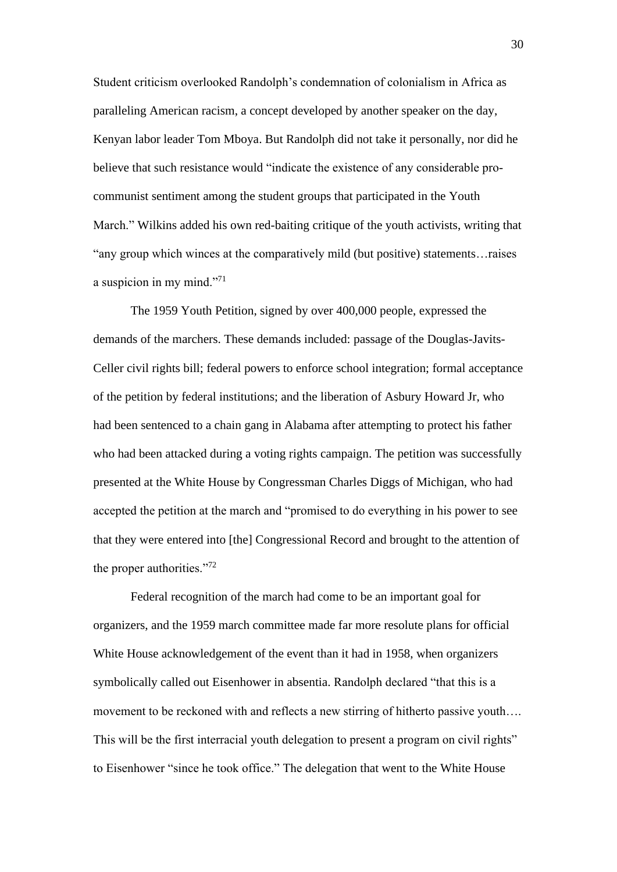Student criticism overlooked Randolph's condemnation of colonialism in Africa as paralleling American racism, a concept developed by another speaker on the day, Kenyan labor leader Tom Mboya. But Randolph did not take it personally, nor did he believe that such resistance would "indicate the existence of any considerable procommunist sentiment among the student groups that participated in the Youth March." Wilkins added his own red-baiting critique of the youth activists, writing that "any group which winces at the comparatively mild (but positive) statements…raises a suspicion in my mind."<sup>71</sup>

The 1959 Youth Petition, signed by over 400,000 people, expressed the demands of the marchers. These demands included: passage of the Douglas-Javits-Celler civil rights bill; federal powers to enforce school integration; formal acceptance of the petition by federal institutions; and the liberation of Asbury Howard Jr, who had been sentenced to a chain gang in Alabama after attempting to protect his father who had been attacked during a voting rights campaign. The petition was successfully presented at the White House by Congressman Charles Diggs of Michigan, who had accepted the petition at the march and "promised to do everything in his power to see that they were entered into [the] Congressional Record and brought to the attention of the proper authorities."<sup>72</sup>

Federal recognition of the march had come to be an important goal for organizers, and the 1959 march committee made far more resolute plans for official White House acknowledgement of the event than it had in 1958, when organizers symbolically called out Eisenhower in absentia. Randolph declared "that this is a movement to be reckoned with and reflects a new stirring of hitherto passive youth…. This will be the first interracial youth delegation to present a program on civil rights" to Eisenhower "since he took office." The delegation that went to the White House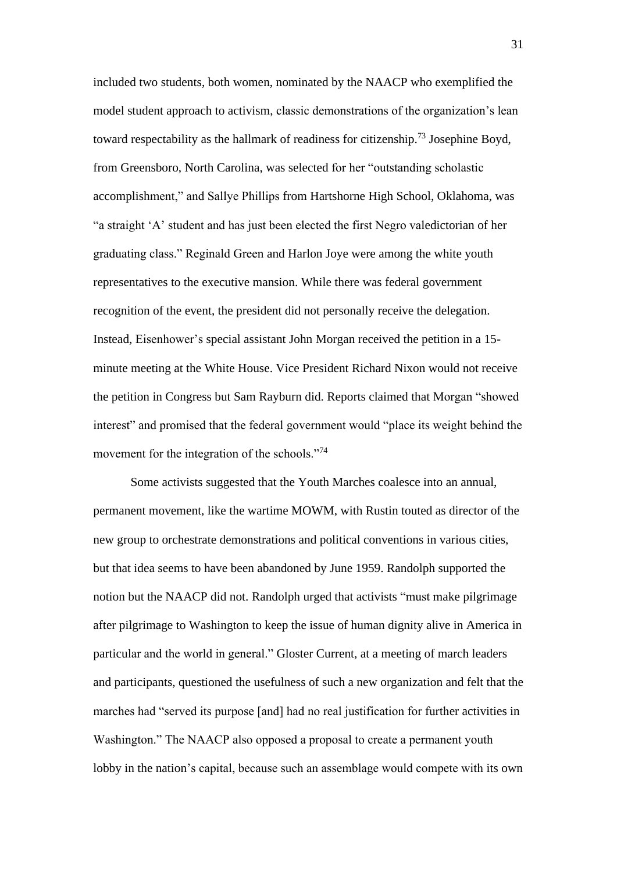included two students, both women, nominated by the NAACP who exemplified the model student approach to activism, classic demonstrations of the organization's lean toward respectability as the hallmark of readiness for citizenship.<sup>73</sup> Josephine Boyd, from Greensboro, North Carolina, was selected for her "outstanding scholastic accomplishment," and Sallye Phillips from Hartshorne High School, Oklahoma, was "a straight 'A' student and has just been elected the first Negro valedictorian of her graduating class." Reginald Green and Harlon Joye were among the white youth representatives to the executive mansion. While there was federal government recognition of the event, the president did not personally receive the delegation. Instead, Eisenhower's special assistant John Morgan received the petition in a 15 minute meeting at the White House. Vice President Richard Nixon would not receive the petition in Congress but Sam Rayburn did. Reports claimed that Morgan "showed interest" and promised that the federal government would "place its weight behind the movement for the integration of the schools."<sup>74</sup>

Some activists suggested that the Youth Marches coalesce into an annual, permanent movement, like the wartime MOWM, with Rustin touted as director of the new group to orchestrate demonstrations and political conventions in various cities, but that idea seems to have been abandoned by June 1959. Randolph supported the notion but the NAACP did not. Randolph urged that activists "must make pilgrimage after pilgrimage to Washington to keep the issue of human dignity alive in America in particular and the world in general." Gloster Current, at a meeting of march leaders and participants, questioned the usefulness of such a new organization and felt that the marches had "served its purpose [and] had no real justification for further activities in Washington." The NAACP also opposed a proposal to create a permanent youth lobby in the nation's capital, because such an assemblage would compete with its own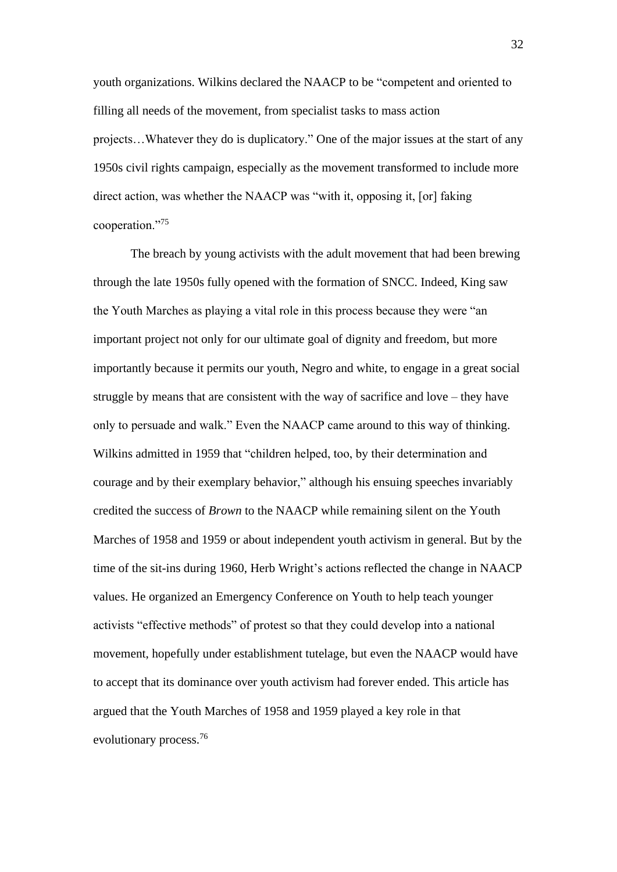youth organizations. Wilkins declared the NAACP to be "competent and oriented to filling all needs of the movement, from specialist tasks to mass action projects…Whatever they do is duplicatory." One of the major issues at the start of any 1950s civil rights campaign, especially as the movement transformed to include more direct action, was whether the NAACP was "with it, opposing it, [or] faking cooperation."<sup>75</sup>

The breach by young activists with the adult movement that had been brewing through the late 1950s fully opened with the formation of SNCC. Indeed, King saw the Youth Marches as playing a vital role in this process because they were "an important project not only for our ultimate goal of dignity and freedom, but more importantly because it permits our youth, Negro and white, to engage in a great social struggle by means that are consistent with the way of sacrifice and love – they have only to persuade and walk." Even the NAACP came around to this way of thinking. Wilkins admitted in 1959 that "children helped, too, by their determination and courage and by their exemplary behavior," although his ensuing speeches invariably credited the success of *Brown* to the NAACP while remaining silent on the Youth Marches of 1958 and 1959 or about independent youth activism in general. But by the time of the sit-ins during 1960, Herb Wright's actions reflected the change in NAACP values. He organized an Emergency Conference on Youth to help teach younger activists "effective methods" of protest so that they could develop into a national movement, hopefully under establishment tutelage, but even the NAACP would have to accept that its dominance over youth activism had forever ended. This article has argued that the Youth Marches of 1958 and 1959 played a key role in that evolutionary process.<sup>76</sup>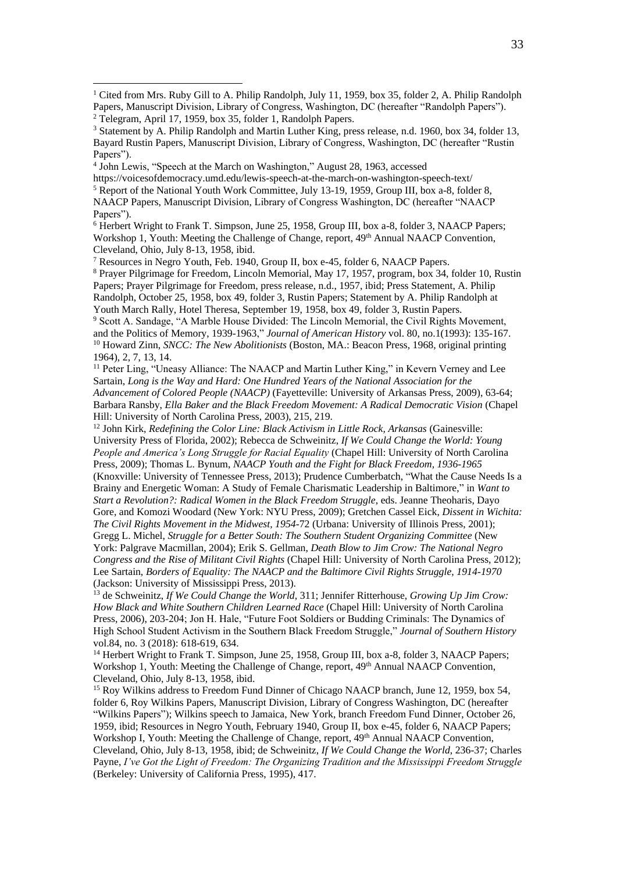4 John Lewis, "Speech at the March on Washington," August 28, 1963, accessed

https://voicesofdemocracy.umd.edu/lewis-speech-at-the-march-on-washington-speech-text/ <sup>5</sup> Report of the National Youth Work Committee, July 13-19, 1959, Group III, box a-8, folder 8, NAACP Papers, Manuscript Division, Library of Congress Washington, DC (hereafter "NAACP Papers").

<sup>6</sup> Herbert Wright to Frank T. Simpson, June 25, 1958, Group III, box a-8, folder 3, NAACP Papers; Workshop 1, Youth: Meeting the Challenge of Change, report, 49<sup>th</sup> Annual NAACP Convention, Cleveland, Ohio, July 8-13, 1958, ibid.

<sup>7</sup> Resources in Negro Youth, Feb. 1940, Group II, box e-45, folder 6, NAACP Papers.

<sup>8</sup> Prayer Pilgrimage for Freedom, Lincoln Memorial, May 17, 1957, program, box 34, folder 10, Rustin Papers; Prayer Pilgrimage for Freedom, press release, n.d., 1957, ibid; Press Statement, A. Philip Randolph, October 25, 1958, box 49, folder 3, Rustin Papers; Statement by A. Philip Randolph at Youth March Rally, Hotel Theresa, September 19, 1958, box 49, folder 3, Rustin Papers.

<sup>9</sup> Scott A. Sandage, "A Marble House Divided: The Lincoln Memorial, the Civil Rights Movement, and the Politics of Memory, 1939-1963," *Journal of American History* vol. 80, no.1(1993): 135-167. <sup>10</sup> Howard Zinn, *SNCC: The New Abolitionists* (Boston, MA.: Beacon Press, 1968, original printing 1964), 2, 7, 13, 14.

<sup>11</sup> Peter Ling, "Uneasy Alliance: The NAACP and Martin Luther King," in Kevern Verney and Lee Sartain, *Long is the Way and Hard: One Hundred Years of the National Association for the Advancement of Colored People (NAACP)* (Fayetteville: University of Arkansas Press, 2009), 63-64; Barbara Ransby, *Ella Baker and the Black Freedom Movement: A Radical Democratic Vision* (Chapel Hill: University of North Carolina Press, 2003), 215, 219.

<sup>12</sup> John Kirk, *Redefining the Color Line: Black Activism in Little Rock, Arkansas* (Gainesville: University Press of Florida, 2002); Rebecca de Schweinitz, *If We Could Change the World: Young People and America's Long Struggle for Racial Equality* (Chapel Hill: University of North Carolina Press, 2009); Thomas L. Bynum, *NAACP Youth and the Fight for Black Freedom, 1936-1965* (Knoxville: University of Tennessee Press, 2013); Prudence Cumberbatch, "What the Cause Needs Is a Brainy and Energetic Woman: A Study of Female Charismatic Leadership in Baltimore," in *Want to Start a Revolution?: Radical Women in the Black Freedom Struggle*, eds. Jeanne Theoharis, Dayo Gore, and Komozi Woodard (New York: NYU Press, 2009); Gretchen Cassel Eick, *Dissent in Wichita: The Civil Rights Movement in the Midwest, 1954-*72 (Urbana: University of Illinois Press, 2001); Gregg L. Michel, *Struggle for a Better South: The Southern Student Organizing Committee* (New York: Palgrave Macmillan, 2004); Erik S. Gellman, *Death Blow to Jim Crow: The National Negro Congress and the Rise of Militant Civil Rights* (Chapel Hill: University of North Carolina Press, 2012); Lee Sartain, *Borders of Equality: The NAACP and the Baltimore Civil Rights Struggle, 1914-1970* (Jackson: University of Mississippi Press, 2013).

<sup>13</sup> de Schweinitz, *If We Could Change the World*, 311; Jennifer Ritterhouse, *Growing Up Jim Crow: How Black and White Southern Children Learned Race* (Chapel Hill: University of North Carolina Press, 2006), 203-204; Jon H. Hale, "Future Foot Soldiers or Budding Criminals: The Dynamics of High School Student Activism in the Southern Black Freedom Struggle," *Journal of Southern History* vol.84, no. 3 (2018): 618-619, 634.

<sup>14</sup> Herbert Wright to Frank T. Simpson, June 25, 1958, Group III, box a-8, folder 3, NAACP Papers; Workshop 1, Youth: Meeting the Challenge of Change, report, 49<sup>th</sup> Annual NAACP Convention, Cleveland, Ohio, July 8-13, 1958, ibid.

<sup>15</sup> Roy Wilkins address to Freedom Fund Dinner of Chicago NAACP branch, June 12, 1959, box 54, folder 6, Roy Wilkins Papers, Manuscript Division, Library of Congress Washington, DC (hereafter "Wilkins Papers"); Wilkins speech to Jamaica, New York, branch Freedom Fund Dinner, October 26, 1959, ibid; Resources in Negro Youth, February 1940, Group II, box e-45, folder 6, NAACP Papers; Workshop I, Youth: Meeting the Challenge of Change, report, 49<sup>th</sup> Annual NAACP Convention, Cleveland, Ohio, July 8-13, 1958, ibid; de Schweinitz, *If We Could Change the World*, 236-37; Charles Payne, *I've Got the Light of Freedom: The Organizing Tradition and the Mississippi Freedom Struggle* (Berkeley: University of California Press, 1995), 417.

<sup>&</sup>lt;sup>1</sup> Cited from Mrs. Ruby Gill to A. Philip Randolph, July 11, 1959, box 35, folder 2, A. Philip Randolph Papers, Manuscript Division, Library of Congress, Washington, DC (hereafter "Randolph Papers"). <sup>2</sup> Telegram, April 17, 1959, box 35, folder 1, Randolph Papers.

<sup>3</sup> Statement by A. Philip Randolph and Martin Luther King, press release, n.d. 1960, box 34, folder 13, Bayard Rustin Papers, Manuscript Division, Library of Congress, Washington, DC (hereafter "Rustin Papers").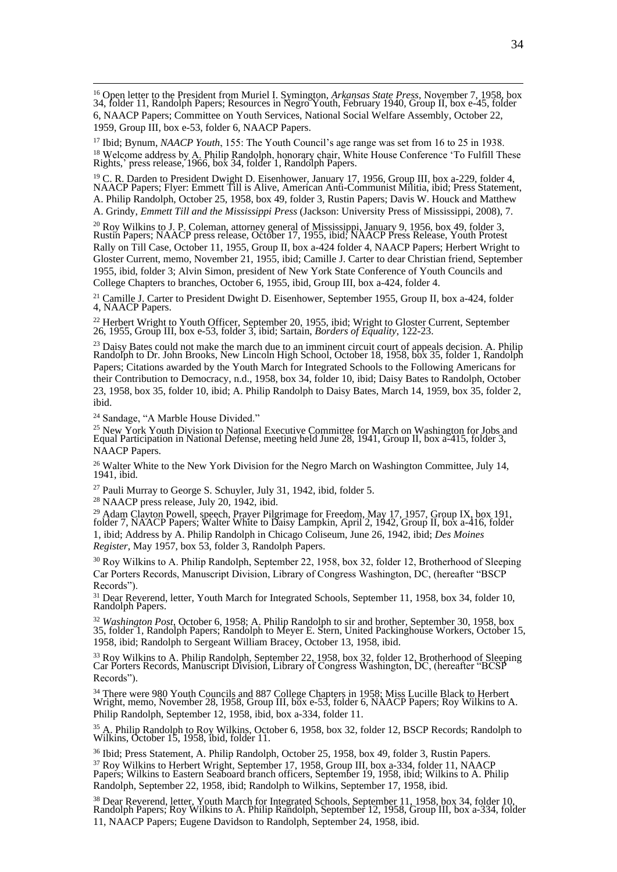<sup>16</sup> Open letter to the President from Muriel I. Symington, *Arkansas State Press*, November 7, 1958, box 34, folder 11, Randolph Papers; Resources in Negro Youth, February 1940, Group II, box e-45, folder 6, NAACP Papers; Committee on Youth Services, National Social Welfare Assembly, October 22, 1959, Group III, box e-53, folder 6, NAACP Papers.

<sup>17</sup> Ibid; Bynum, *NAACP Youth*, 155: The Youth Council's age range was set from 16 to 25 in 1938.  $^{18}$  Welcome address by A. Philip Randolph, honorary chair, White House Conference 'To Fulfill These Rights,' press release, 1966, box 34, folder 1, Randolph Papers.

<sup>19</sup> C. R. Darden to President Dwight D. Eisenhower, January 17, 1956, Group III, box a-229, folder 4, NAACP Papers; Flyer: Emmett Till is Alive, American Anti-Communist Militia, ibid; Press Statement, A. Philip Randolph, October 25, 1958, box 49, folder 3, Rustin Papers; Davis W. Houck and Matthew A. Grindy, *Emmett Till and the Mississippi Press* (Jackson: University Press of Mississippi, 2008), 7.

 $^{20}$  Roy Wilkins to J. P. Coleman, attorney general of Mississippi, January 9, 1956, box 49, folder 3, Rustin Papers; NAACP press release, October 17, 1955, ibid; NAACP Press Release, Youth Protest Rally on Till Case, October 11, 1955, Group II, box a-424 folder 4, NAACP Papers; Herbert Wright to Gloster Current, memo, November 21, 1955, ibid; Camille J. Carter to dear Christian friend, September 1955, ibid, folder 3; Alvin Simon, president of New York State Conference of Youth Councils and College Chapters to branches, October 6, 1955, ibid, Group III, box a-424, folder 4.

<sup>21</sup> Camille J. Carter to President Dwight D. Eisenhower, September 1955, Group II, box a-424, folder 4, NAACP Papers.

 $^{22}$  Herbert Wright to Youth Officer, September 20, 1955, ibid; Wright to Gloster Current, September 26, 1955, Group III, box e-53, folder 3, ibid; Sartain, *Borders of Equality*, 122-23.

 $^{23}$  Daisy Bates could not make the march due to an imminent circuit court of appeals decision. A. Philip Randolph to Dr. John Brooks, New Lincoln High School, October 18, 1958, box 35, folder 1, Randolph Papers; Citations awarded by the Youth March for Integrated Schools to the Following Americans for their Contribution to Democracy, n.d., 1958, box 34, folder 10, ibid; Daisy Bates to Randolph, October 23, 1958, box 35, folder 10, ibid; A. Philip Randolph to Daisy Bates, March 14, 1959, box 35, folder 2, ibid.

<sup>24</sup> Sandage, "A Marble House Divided."

 $\frac{25}{25}$  New York Youth Division to National Executive Committee for March on Washington for Jobs and Equal Participation in National Defense, meeting held June 28, 1941, Group II, box a-415, folder 3, NAACP Papers.

<sup>26</sup> Walter White to the New York Division for the Negro March on Washington Committee, July 14, 1941, ibid.

<sup>27</sup> Pauli Murray to George S. Schuyler, July 31, 1942, ibid, folder 5.

<sup>28</sup> NAACP press release, July 20, 1942, ibid.

<sup>29</sup> Adam Clayton Powell, speech, Prayer Pilgrimage for Freedom, May 17, 1957, Group IX, box 191, folder 7, NAACP Papers; Walter White to Daisy Lampkin, April 2, 1942, Group II, box a-416, folder 1, ibid; Address by A. Philip Randolph in Chicago Coliseum, June 26, 1942, ibid; *Des Moines Register*, May 1957, box 53, folder 3, Randolph Papers.

<sup>30</sup> Roy Wilkins to A. Philip Randolph, September 22, 1958, box 32, folder 12, Brotherhood of Sleeping Car Porters Records, Manuscript Division, Library of Congress Washington, DC, (hereafter "BSCP Records").

<sup>31</sup> Dear Reverend, letter, Youth March for Integrated Schools, September 11, 1958, box 34, folder 10, Randolph Papers.

<sup>32</sup> *Washington Post*, October 6, 1958; A. Philip Randolph to sir and brother, September 30, 1958, box 35, folder 1, Randolph Papers; Randolph to Meyer E. Stern, United Packinghouse Workers, October 15, 1958, ibid; Randolph to Sergeant William Bracey, October 13, 1958, ibid.

<sup>33</sup> Roy Wilkins to A. Philip Randolph, September 22, 1958, box 32, folder 12, Brotherhood of Sleeping Car Porters Records, Manuscript Division, Library of Congress Washington, DC, (hereafter "BCSP Records").

<sup>34</sup> There were 980 Youth Councils and 887 College Chapters in 1958; Miss Lucille Black to Herbert Wright, memo, November 28, 1958, Group III, box e-53, folder 6, NAACP Papers; Roy Wilkins to A. Philip Randolph, September 12, 1958, ibid, box a-334, folder 11.

 $35$  A. Philip Randolph to Roy Wilkins, October 6, 1958, box 32, folder 12, BSCP Records; Randolph to Wilkins, October 15, 1958, ibid, folder 11.

<sup>36</sup> Ibid; Press Statement, A. Philip Randolph, October 25, 1958, box 49, folder 3, Rustin Papers.  $37^3$  Roy Wilkins to Herbert Wright, September 17, 1958, Group III, box a-334, folder 11, NAACP Papers; Wilkins to Eastern Seaboard branch officers, September 19, 1958, ibid; Wilkins to A. Philip Randolph, September 22, 1958, ibid; Randolph to Wilkins, September 17, 1958, ibid.

<sup>38</sup> Dear Reverend, letter, Youth March for Integrated Schools, September 11, 1958, box 34, folder 10, Randolph Papers; Roy Wilkins to A. Philip Randolph, September 12, 1958, Group III, box a-334, folder 11, NAACP Papers; Eugene Davidson to Randolph, September 24, 1958, ibid.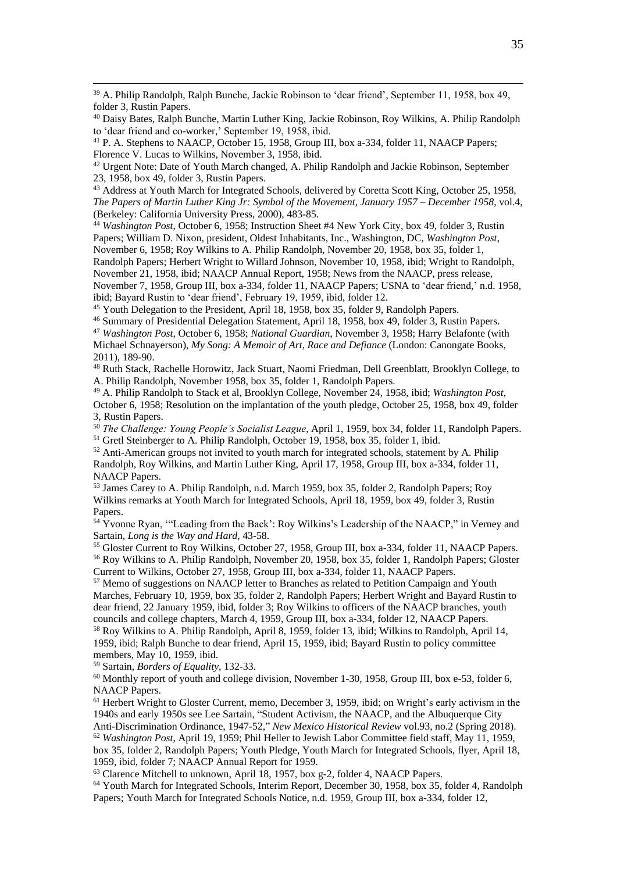<sup>39</sup> A. Philip Randolph, Ralph Bunche, Jackie Robinson to 'dear friend', September 11, 1958, box 49, folder 3, Rustin Papers.

<sup>40</sup> Daisy Bates, Ralph Bunche, Martin Luther King, Jackie Robinson, Roy Wilkins, A. Philip Randolph to 'dear friend and co-worker,' September 19, 1958, ibid.

<sup>41</sup> P. A. Stephens to NAACP, October 15, 1958, Group III, box a-334, folder 11, NAACP Papers: Florence V. Lucas to Wilkins, November 3, 1958, ibid.

<sup>42</sup> Urgent Note: Date of Youth March changed, A. Philip Randolph and Jackie Robinson, September 23, 1958, box 49, folder 3, Rustin Papers.

<sup>43</sup> Address at Youth March for Integrated Schools, delivered by Coretta Scott King, October 25, 1958, *The Papers of Martin Luther King Jr: Symbol of the Movement, January 1957 – December 1958*, vol.4, (Berkeley: California University Press, 2000), 483-85.

<sup>44</sup> *Washington Post*, October 6, 1958; Instruction Sheet #4 New York City, box 49, folder 3, Rustin Papers; William D. Nixon, president, Oldest Inhabitants, Inc., Washington, DC, *Washington Post*, November 6, 1958; Roy Wilkins to A. Philip Randolph, November 20, 1958, box 35, folder 1, Randolph Papers; Herbert Wright to Willard Johnson, November 10, 1958, ibid; Wright to Randolph, November 21, 1958, ibid; NAACP Annual Report, 1958; News from the NAACP, press release, November 7, 1958, Group III, box a-334, folder 11, NAACP Papers; USNA to 'dear friend,' n.d. 1958,

ibid; Bayard Rustin to 'dear friend', February 19, 1959, ibid, folder 12.

<sup>45</sup> Youth Delegation to the President, April 18, 1958, box 35, folder 9, Randolph Papers.

<sup>46</sup> Summary of Presidential Delegation Statement, April 18, 1958, box 49, folder 3, Rustin Papers. <sup>47</sup> *Washington Post*, October 6, 1958; *National Guardian*, November 3, 1958; Harry Belafonte (with Michael Schnayerson), *My Song: A Memoir of Art, Race and Defiance* (London: Canongate Books, 2011), 189-90.

<sup>48</sup> Ruth Stack, Rachelle Horowitz, Jack Stuart, Naomi Friedman, Dell Greenblatt, Brooklyn College, to A. Philip Randolph, November 1958, box 35, folder 1, Randolph Papers.

<sup>49</sup> A. Philip Randolph to Stack et al, Brooklyn College, November 24, 1958, ibid; *Washington Post*, October 6, 1958; Resolution on the implantation of the youth pledge, October 25, 1958, box 49, folder 3, Rustin Papers.

<sup>50</sup> *The Challenge: Young People's Socialist League*, April 1, 1959, box 34, folder 11, Randolph Papers. <sup>51</sup> Gretl Steinberger to A. Philip Randolph, October 19, 1958, box 35, folder 1, ibid.

<sup>52</sup> Anti-American groups not invited to youth march for integrated schools, statement by A. Philip Randolph, Roy Wilkins, and Martin Luther King, April 17, 1958, Group III, box a-334, folder 11, NAACP Papers.

<sup>53</sup> James Carey to A. Philip Randolph, n.d. March 1959, box 35, folder 2, Randolph Papers; Roy Wilkins remarks at Youth March for Integrated Schools, April 18, 1959, box 49, folder 3, Rustin Papers.

<sup>54</sup> Yvonne Ryan, "'Leading from the Back': Roy Wilkins's Leadership of the NAACP," in Verney and Sartain, *Long is the Way and Hard*, 43-58.

<sup>55</sup> Gloster Current to Roy Wilkins, October 27, 1958, Group III, box a-334, folder 11, NAACP Papers. <sup>56</sup> Roy Wilkins to A. Philip Randolph, November 20, 1958, box 35, folder 1, Randolph Papers; Gloster Current to Wilkins, October 27, 1958, Group III, box a-334, folder 11, NAACP Papers.

<sup>57</sup> Memo of suggestions on NAACP letter to Branches as related to Petition Campaign and Youth Marches, February 10, 1959, box 35, folder 2, Randolph Papers; Herbert Wright and Bayard Rustin to dear friend, 22 January 1959, ibid, folder 3; Roy Wilkins to officers of the NAACP branches, youth councils and college chapters, March 4, 1959, Group III, box a-334, folder 12, NAACP Papers. <sup>58</sup> Roy Wilkins to A. Philip Randolph, April 8, 1959, folder 13, ibid; Wilkins to Randolph, April 14, 1959, ibid; Ralph Bunche to dear friend, April 15, 1959, ibid; Bayard Rustin to policy committee members, May 10, 1959, ibid.

<sup>59</sup> Sartain, *Borders of Equality*, 132-33.

<sup>60</sup> Monthly report of youth and college division, November 1-30, 1958, Group III, box e-53, folder 6, NAACP Papers.

<sup>61</sup> Herbert Wright to Gloster Current, memo, December 3, 1959, ibid; on Wright's early activism in the 1940s and early 1950s see Lee Sartain, "Student Activism, the NAACP, and the Albuquerque City Anti-Discrimination Ordinance, 1947-52," *New Mexico Historical Review* vol.93, no.2 (Spring 2018). <sup>62</sup> *Washington Post*, April 19, 1959; Phil Heller to Jewish Labor Committee field staff, May 11, 1959, box 35, folder 2, Randolph Papers; Youth Pledge, Youth March for Integrated Schools, flyer, April 18,

1959, ibid, folder 7; NAACP Annual Report for 1959. <sup>63</sup> Clarence Mitchell to unknown, April 18, 1957, box g-2, folder 4, NAACP Papers.

<sup>64</sup> Youth March for Integrated Schools, Interim Report, December 30, 1958, box 35, folder 4, Randolph Papers; Youth March for Integrated Schools Notice, n.d. 1959, Group III, box a-334, folder 12,